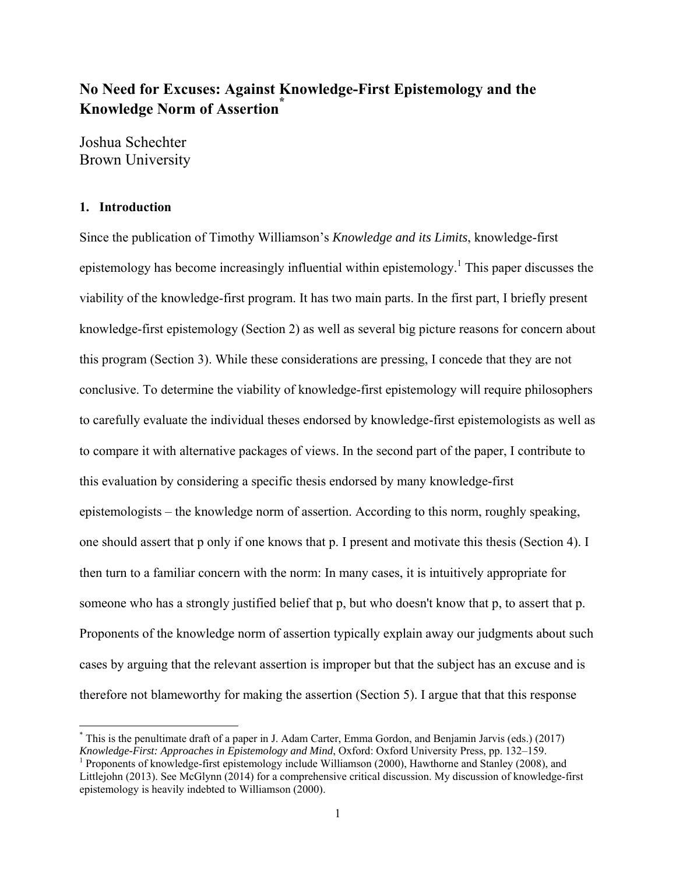# **No Need for Excuses: Against Knowledge-First Epistemology and the Knowledge Norm of Assertion\***

Joshua Schechter Brown University

### **1. Introduction**

Since the publication of Timothy Williamson's *Knowledge and its Limits*, knowledge-first epistemology has become increasingly influential within epistemology.<sup>1</sup> This paper discusses the viability of the knowledge-first program. It has two main parts. In the first part, I briefly present knowledge-first epistemology (Section 2) as well as several big picture reasons for concern about this program (Section 3). While these considerations are pressing, I concede that they are not conclusive. To determine the viability of knowledge-first epistemology will require philosophers to carefully evaluate the individual theses endorsed by knowledge-first epistemologists as well as to compare it with alternative packages of views. In the second part of the paper, I contribute to this evaluation by considering a specific thesis endorsed by many knowledge-first epistemologists – the knowledge norm of assertion. According to this norm, roughly speaking, one should assert that p only if one knows that p. I present and motivate this thesis (Section 4). I then turn to a familiar concern with the norm: In many cases, it is intuitively appropriate for someone who has a strongly justified belief that p, but who doesn't know that p, to assert that p. Proponents of the knowledge norm of assertion typically explain away our judgments about such cases by arguing that the relevant assertion is improper but that the subject has an excuse and is therefore not blameworthy for making the assertion (Section 5). I argue that that this response

<sup>\*</sup> This is the penultimate draft of a paper in J. Adam Carter, Emma Gordon, and Benjamin Jarvis (eds.) (2017) *Knowledge-First: Approaches in Epistemology and Mind*, Oxford: Oxford University Press, pp. 132–159. 1

 $1$  Proponents of knowledge-first epistemology include Williamson (2000), Hawthorne and Stanley (2008), and Littlejohn (2013). See McGlynn (2014) for a comprehensive critical discussion. My discussion of knowledge-first epistemology is heavily indebted to Williamson (2000).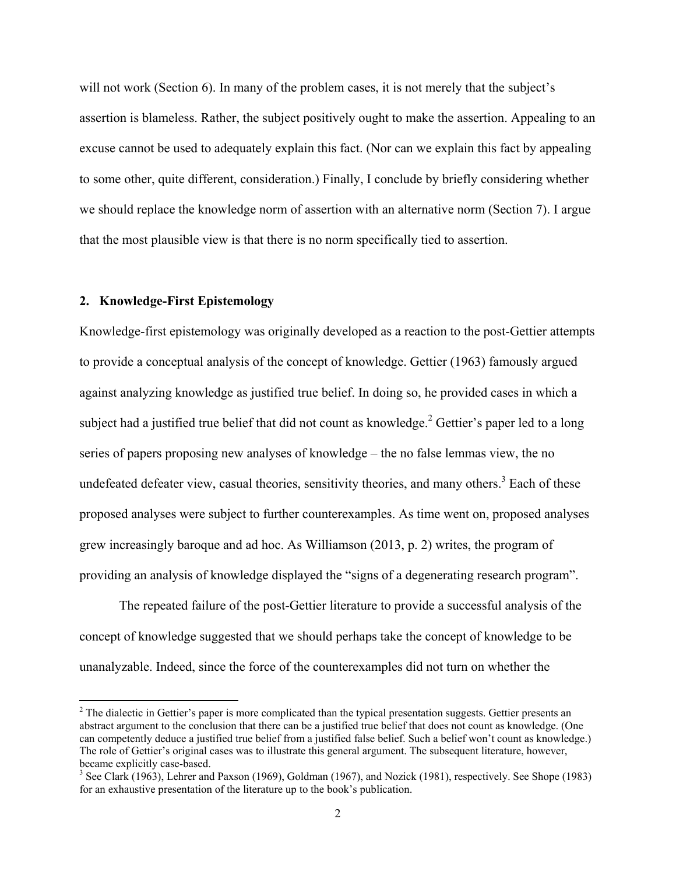will not work (Section 6). In many of the problem cases, it is not merely that the subject's assertion is blameless. Rather, the subject positively ought to make the assertion. Appealing to an excuse cannot be used to adequately explain this fact. (Nor can we explain this fact by appealing to some other, quite different, consideration.) Finally, I conclude by briefly considering whether we should replace the knowledge norm of assertion with an alternative norm (Section 7). I argue that the most plausible view is that there is no norm specifically tied to assertion.

### **2. Knowledge-First Epistemology**

Knowledge-first epistemology was originally developed as a reaction to the post-Gettier attempts to provide a conceptual analysis of the concept of knowledge. Gettier (1963) famously argued against analyzing knowledge as justified true belief. In doing so, he provided cases in which a subject had a justified true belief that did not count as knowledge.<sup>2</sup> Gettier's paper led to a long series of papers proposing new analyses of knowledge – the no false lemmas view, the no undefeated defeater view, casual theories, sensitivity theories, and many others.<sup>3</sup> Each of these proposed analyses were subject to further counterexamples. As time went on, proposed analyses grew increasingly baroque and ad hoc. As Williamson (2013, p. 2) writes, the program of providing an analysis of knowledge displayed the "signs of a degenerating research program".

The repeated failure of the post-Gettier literature to provide a successful analysis of the concept of knowledge suggested that we should perhaps take the concept of knowledge to be unanalyzable. Indeed, since the force of the counterexamples did not turn on whether the

 $2<sup>2</sup>$  The dialectic in Gettier's paper is more complicated than the typical presentation suggests. Gettier presents an abstract argument to the conclusion that there can be a justified true belief that does not count as knowledge. (One can competently deduce a justified true belief from a justified false belief. Such a belief won't count as knowledge.) The role of Gettier's original cases was to illustrate this general argument. The subsequent literature, however, became explicitly case-based.

 $3$  See Clark (1963), Lehrer and Paxson (1969), Goldman (1967), and Nozick (1981), respectively. See Shope (1983) for an exhaustive presentation of the literature up to the book's publication.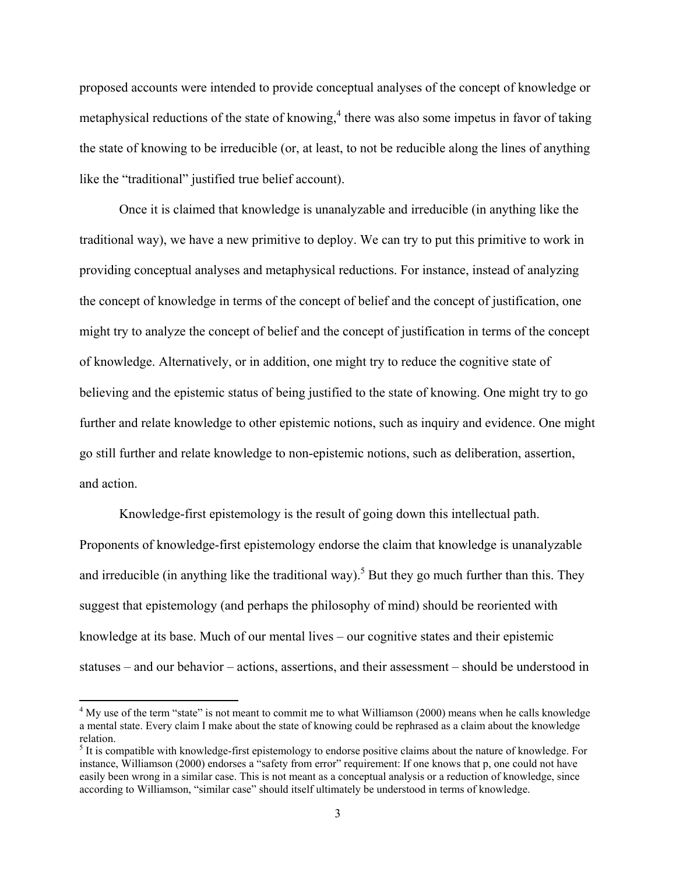proposed accounts were intended to provide conceptual analyses of the concept of knowledge or metaphysical reductions of the state of knowing,  $4$  there was also some impetus in favor of taking the state of knowing to be irreducible (or, at least, to not be reducible along the lines of anything like the "traditional" justified true belief account).

Once it is claimed that knowledge is unanalyzable and irreducible (in anything like the traditional way), we have a new primitive to deploy. We can try to put this primitive to work in providing conceptual analyses and metaphysical reductions. For instance, instead of analyzing the concept of knowledge in terms of the concept of belief and the concept of justification, one might try to analyze the concept of belief and the concept of justification in terms of the concept of knowledge. Alternatively, or in addition, one might try to reduce the cognitive state of believing and the epistemic status of being justified to the state of knowing. One might try to go further and relate knowledge to other epistemic notions, such as inquiry and evidence. One might go still further and relate knowledge to non-epistemic notions, such as deliberation, assertion, and action.

Knowledge-first epistemology is the result of going down this intellectual path. Proponents of knowledge-first epistemology endorse the claim that knowledge is unanalyzable and irreducible (in anything like the traditional way).<sup>5</sup> But they go much further than this. They suggest that epistemology (and perhaps the philosophy of mind) should be reoriented with knowledge at its base. Much of our mental lives – our cognitive states and their epistemic statuses – and our behavior – actions, assertions, and their assessment – should be understood in

 $4$  My use of the term "state" is not meant to commit me to what Williamson (2000) means when he calls knowledge a mental state. Every claim I make about the state of knowing could be rephrased as a claim about the knowledge relation.

 $<sup>5</sup>$  It is compatible with knowledge-first epistemology to endorse positive claims about the nature of knowledge. For</sup> instance, Williamson (2000) endorses a "safety from error" requirement: If one knows that p, one could not have easily been wrong in a similar case. This is not meant as a conceptual analysis or a reduction of knowledge, since according to Williamson, "similar case" should itself ultimately be understood in terms of knowledge.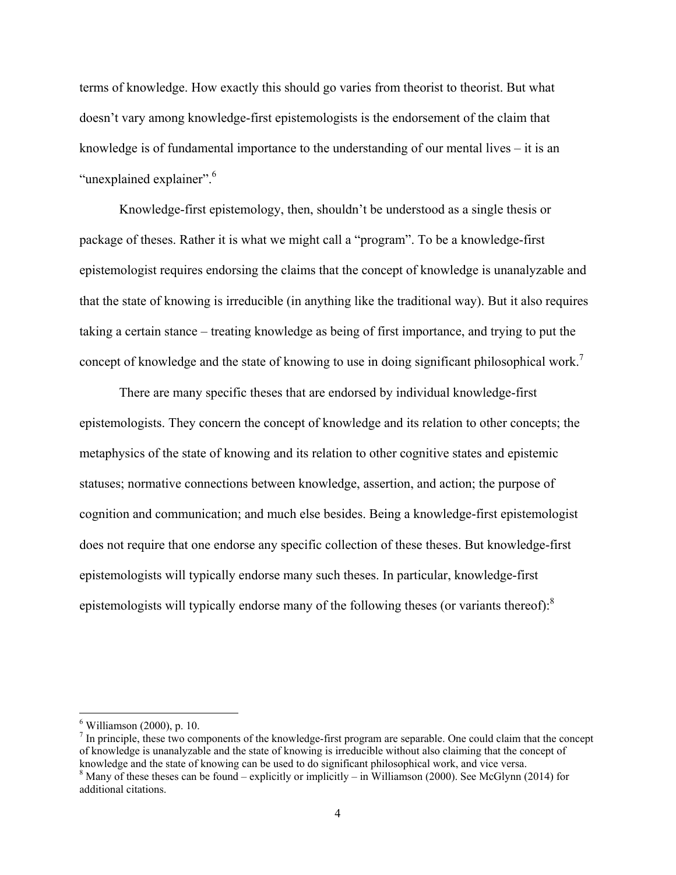terms of knowledge. How exactly this should go varies from theorist to theorist. But what doesn't vary among knowledge-first epistemologists is the endorsement of the claim that knowledge is of fundamental importance to the understanding of our mental lives  $-$  it is an "unexplained explainer".<sup>6</sup>

Knowledge-first epistemology, then, shouldn't be understood as a single thesis or package of theses. Rather it is what we might call a "program". To be a knowledge-first epistemologist requires endorsing the claims that the concept of knowledge is unanalyzable and that the state of knowing is irreducible (in anything like the traditional way). But it also requires taking a certain stance – treating knowledge as being of first importance, and trying to put the concept of knowledge and the state of knowing to use in doing significant philosophical work.<sup>7</sup>

There are many specific theses that are endorsed by individual knowledge-first epistemologists. They concern the concept of knowledge and its relation to other concepts; the metaphysics of the state of knowing and its relation to other cognitive states and epistemic statuses; normative connections between knowledge, assertion, and action; the purpose of cognition and communication; and much else besides. Being a knowledge-first epistemologist does not require that one endorse any specific collection of these theses. But knowledge-first epistemologists will typically endorse many such theses. In particular, knowledge-first epistemologists will typically endorse many of the following theses (or variants thereof): $8$ 

<sup>6</sup> Williamson (2000), p. 10.

 $<sup>7</sup>$  In principle, these two components of the knowledge-first program are separable. One could claim that the concept</sup> of knowledge is unanalyzable and the state of knowing is irreducible without also claiming that the concept of knowledge and the state of knowing can be used to do significant philosophical work, and vice versa.

 $8$  Many of these theses can be found – explicitly or implicitly – in Williamson (2000). See McGlynn (2014) for additional citations.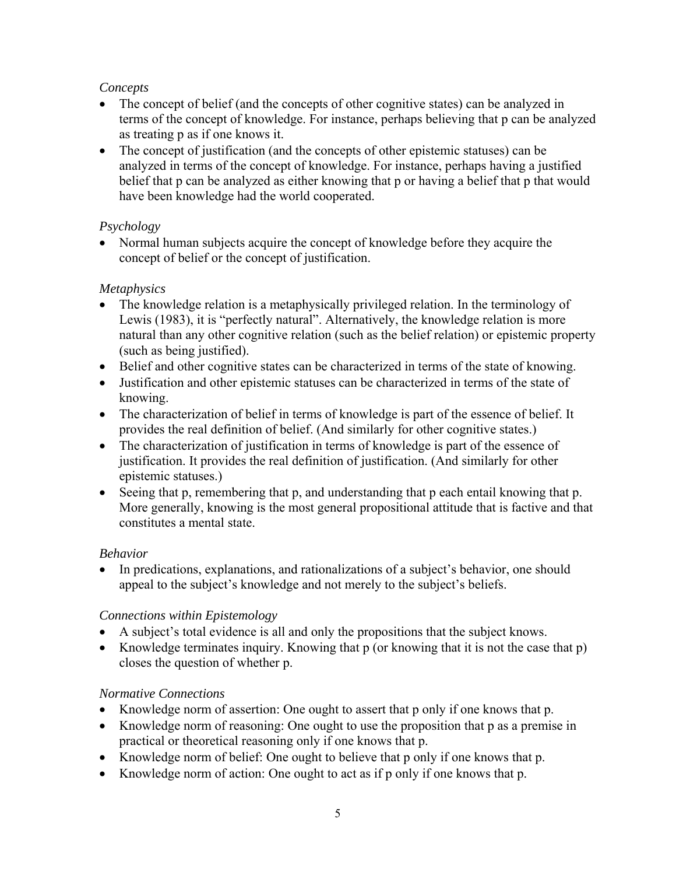### *Concepts*

- The concept of belief (and the concepts of other cognitive states) can be analyzed in terms of the concept of knowledge. For instance, perhaps believing that p can be analyzed as treating p as if one knows it.
- The concept of justification (and the concepts of other epistemic statuses) can be analyzed in terms of the concept of knowledge. For instance, perhaps having a justified belief that p can be analyzed as either knowing that p or having a belief that p that would have been knowledge had the world cooperated.

## *Psychology*

 Normal human subjects acquire the concept of knowledge before they acquire the concept of belief or the concept of justification.

## *Metaphysics*

- The knowledge relation is a metaphysically privileged relation. In the terminology of Lewis (1983), it is "perfectly natural". Alternatively, the knowledge relation is more natural than any other cognitive relation (such as the belief relation) or epistemic property (such as being justified).
- Belief and other cognitive states can be characterized in terms of the state of knowing.
- Justification and other epistemic statuses can be characterized in terms of the state of knowing.
- The characterization of belief in terms of knowledge is part of the essence of belief. It provides the real definition of belief. (And similarly for other cognitive states.)
- The characterization of justification in terms of knowledge is part of the essence of justification. It provides the real definition of justification. (And similarly for other epistemic statuses.)
- Seeing that p, remembering that p, and understanding that p each entail knowing that p. More generally, knowing is the most general propositional attitude that is factive and that constitutes a mental state.

## *Behavior*

• In predications, explanations, and rationalizations of a subject's behavior, one should appeal to the subject's knowledge and not merely to the subject's beliefs.

# *Connections within Epistemology*

- A subject's total evidence is all and only the propositions that the subject knows.
- Knowledge terminates inquiry. Knowing that  $p$  (or knowing that it is not the case that  $p$ ) closes the question of whether p.

# *Normative Connections*

- Knowledge norm of assertion: One ought to assert that p only if one knows that p.
- Knowledge norm of reasoning: One ought to use the proposition that p as a premise in practical or theoretical reasoning only if one knows that p.
- Knowledge norm of belief: One ought to believe that p only if one knows that p.
- Knowledge norm of action: One ought to act as if p only if one knows that p.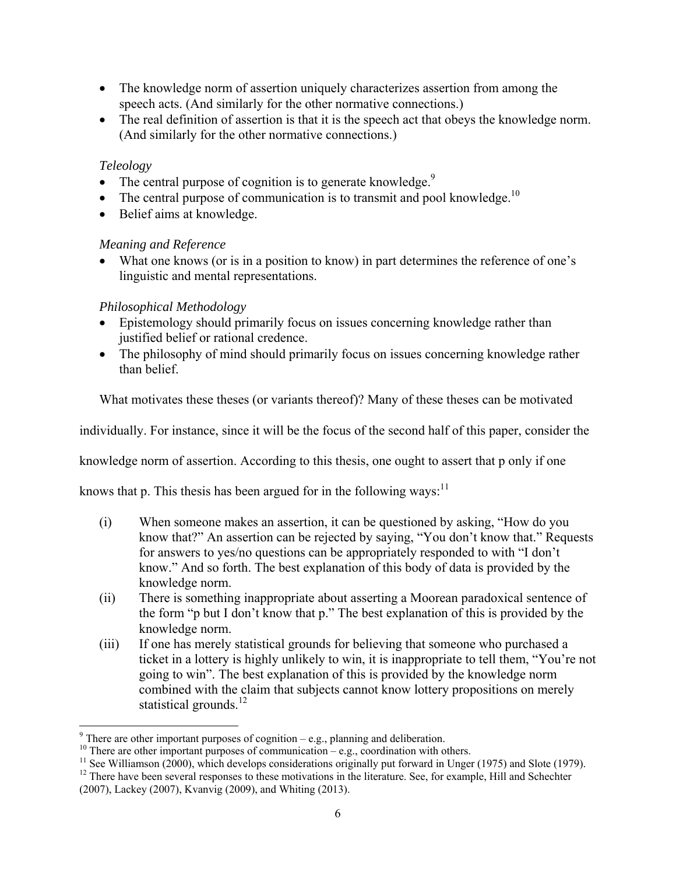- The knowledge norm of assertion uniquely characterizes assertion from among the speech acts. (And similarly for the other normative connections.)
- The real definition of assertion is that it is the speech act that obeys the knowledge norm. (And similarly for the other normative connections.)

### *Teleology*

- $\bullet$  The central purpose of cognition is to generate knowledge.<sup>9</sup>
- The central purpose of communication is to transmit and pool knowledge.<sup>10</sup>
- Belief aims at knowledge.

### *Meaning and Reference*

 What one knows (or is in a position to know) in part determines the reference of one's linguistic and mental representations.

### *Philosophical Methodology*

- Epistemology should primarily focus on issues concerning knowledge rather than justified belief or rational credence.
- The philosophy of mind should primarily focus on issues concerning knowledge rather than belief.

What motivates these theses (or variants thereof)? Many of these theses can be motivated

individually. For instance, since it will be the focus of the second half of this paper, consider the

knowledge norm of assertion. According to this thesis, one ought to assert that p only if one

knows that p. This thesis has been argued for in the following ways:  $11$ 

- (i) When someone makes an assertion, it can be questioned by asking, "How do you know that?" An assertion can be rejected by saying, "You don't know that." Requests for answers to yes/no questions can be appropriately responded to with "I don't know." And so forth. The best explanation of this body of data is provided by the knowledge norm.
- (ii) There is something inappropriate about asserting a Moorean paradoxical sentence of the form "p but I don't know that p." The best explanation of this is provided by the knowledge norm.
- (iii) If one has merely statistical grounds for believing that someone who purchased a ticket in a lottery is highly unlikely to win, it is inappropriate to tell them, "You're not going to win". The best explanation of this is provided by the knowledge norm combined with the claim that subjects cannot know lottery propositions on merely statistical grounds. $^{12}$

<sup>&</sup>lt;sup>9</sup> There are other important purposes of cognition – e.g., planning and deliberation.

<sup>&</sup>lt;sup>10</sup> There are other important purposes of communication – e.g., coordination with others.<br><sup>11</sup> See Williamson (2000), which develops considerations originally put forward in Unger (1975) and Slote (1979).<br><sup>12</sup> There have

<sup>(2007),</sup> Lackey (2007), Kvanvig (2009), and Whiting (2013).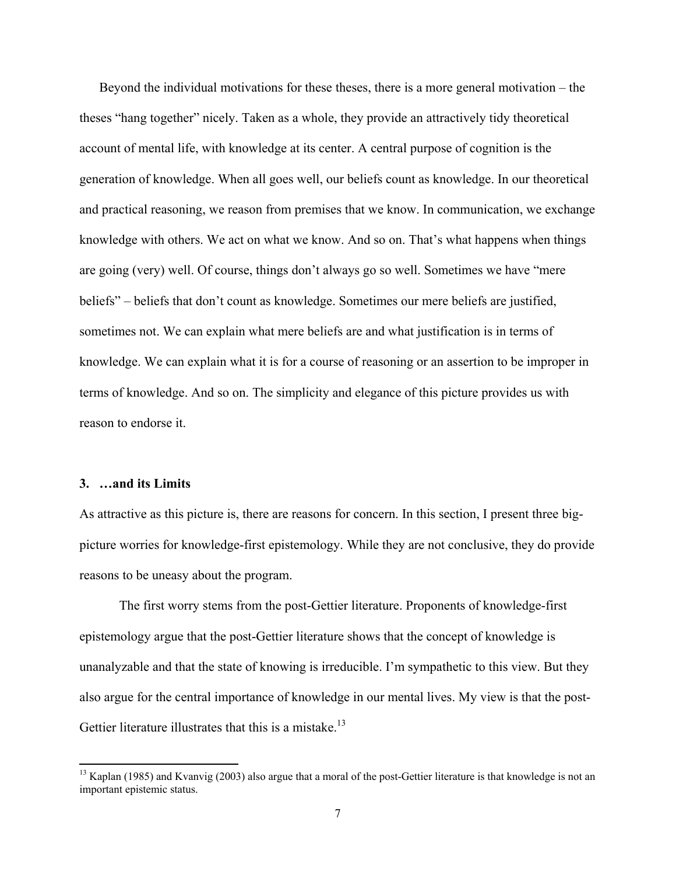Beyond the individual motivations for these theses, there is a more general motivation – the theses "hang together" nicely. Taken as a whole, they provide an attractively tidy theoretical account of mental life, with knowledge at its center. A central purpose of cognition is the generation of knowledge. When all goes well, our beliefs count as knowledge. In our theoretical and practical reasoning, we reason from premises that we know. In communication, we exchange knowledge with others. We act on what we know. And so on. That's what happens when things are going (very) well. Of course, things don't always go so well. Sometimes we have "mere beliefs" – beliefs that don't count as knowledge. Sometimes our mere beliefs are justified, sometimes not. We can explain what mere beliefs are and what justification is in terms of knowledge. We can explain what it is for a course of reasoning or an assertion to be improper in terms of knowledge. And so on. The simplicity and elegance of this picture provides us with reason to endorse it.

#### **3. …and its Limits**

As attractive as this picture is, there are reasons for concern. In this section, I present three bigpicture worries for knowledge-first epistemology. While they are not conclusive, they do provide reasons to be uneasy about the program.

The first worry stems from the post-Gettier literature. Proponents of knowledge-first epistemology argue that the post-Gettier literature shows that the concept of knowledge is unanalyzable and that the state of knowing is irreducible. I'm sympathetic to this view. But they also argue for the central importance of knowledge in our mental lives. My view is that the post-Gettier literature illustrates that this is a mistake.<sup>13</sup>

 $13$  Kaplan (1985) and Kvanvig (2003) also argue that a moral of the post-Gettier literature is that knowledge is not an important epistemic status.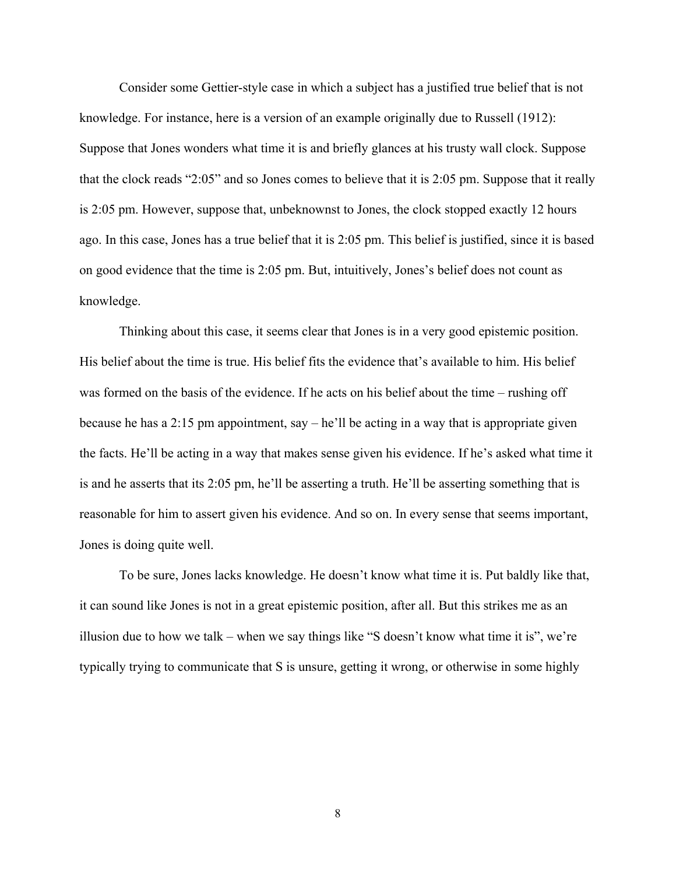Consider some Gettier-style case in which a subject has a justified true belief that is not knowledge. For instance, here is a version of an example originally due to Russell (1912): Suppose that Jones wonders what time it is and briefly glances at his trusty wall clock. Suppose that the clock reads "2:05" and so Jones comes to believe that it is 2:05 pm. Suppose that it really is 2:05 pm. However, suppose that, unbeknownst to Jones, the clock stopped exactly 12 hours ago. In this case, Jones has a true belief that it is 2:05 pm. This belief is justified, since it is based on good evidence that the time is 2:05 pm. But, intuitively, Jones's belief does not count as knowledge.

Thinking about this case, it seems clear that Jones is in a very good epistemic position. His belief about the time is true. His belief fits the evidence that's available to him. His belief was formed on the basis of the evidence. If he acts on his belief about the time – rushing off because he has a 2:15 pm appointment, say – he'll be acting in a way that is appropriate given the facts. He'll be acting in a way that makes sense given his evidence. If he's asked what time it is and he asserts that its 2:05 pm, he'll be asserting a truth. He'll be asserting something that is reasonable for him to assert given his evidence. And so on. In every sense that seems important, Jones is doing quite well.

To be sure, Jones lacks knowledge. He doesn't know what time it is. Put baldly like that, it can sound like Jones is not in a great epistemic position, after all. But this strikes me as an illusion due to how we talk – when we say things like "S doesn't know what time it is", we're typically trying to communicate that S is unsure, getting it wrong, or otherwise in some highly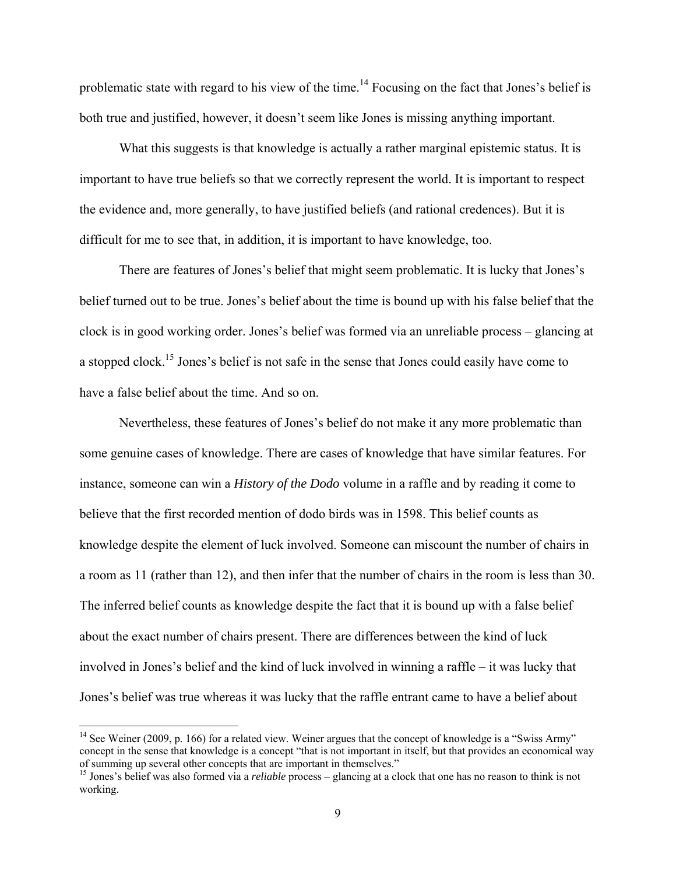problematic state with regard to his view of the time.<sup>14</sup> Focusing on the fact that Jones's belief is both true and justified, however, it doesn't seem like Jones is missing anything important.

What this suggests is that knowledge is actually a rather marginal epistemic status. It is important to have true beliefs so that we correctly represent the world. It is important to respect the evidence and, more generally, to have justified beliefs (and rational credences). But it is difficult for me to see that, in addition, it is important to have knowledge, too.

There are features of Jones's belief that might seem problematic. It is lucky that Jones's belief turned out to be true. Jones's belief about the time is bound up with his false belief that the clock is in good working order. Jones's belief was formed via an unreliable process – glancing at a stopped clock.<sup>15</sup> Jones's belief is not safe in the sense that Jones could easily have come to have a false belief about the time. And so on.

Nevertheless, these features of Jones's belief do not make it any more problematic than some genuine cases of knowledge. There are cases of knowledge that have similar features. For instance, someone can win a *History of the Dodo* volume in a raffle and by reading it come to believe that the first recorded mention of dodo birds was in 1598. This belief counts as knowledge despite the element of luck involved. Someone can miscount the number of chairs in a room as 11 (rather than 12), and then infer that the number of chairs in the room is less than 30. The inferred belief counts as knowledge despite the fact that it is bound up with a false belief about the exact number of chairs present. There are differences between the kind of luck involved in Jones's belief and the kind of luck involved in winning a raffle – it was lucky that Jones's belief was true whereas it was lucky that the raffle entrant came to have a belief about

 $14$  See Weiner (2009, p. 166) for a related view. Weiner argues that the concept of knowledge is a "Swiss Army" concept in the sense that knowledge is a concept "that is not important in itself, but that provides an economical way of summing up several other concepts that are important in themselves."

<sup>&</sup>lt;sup>15</sup> Jones's belief was also formed via a *reliable* process – glancing at a clock that one has no reason to think is not working.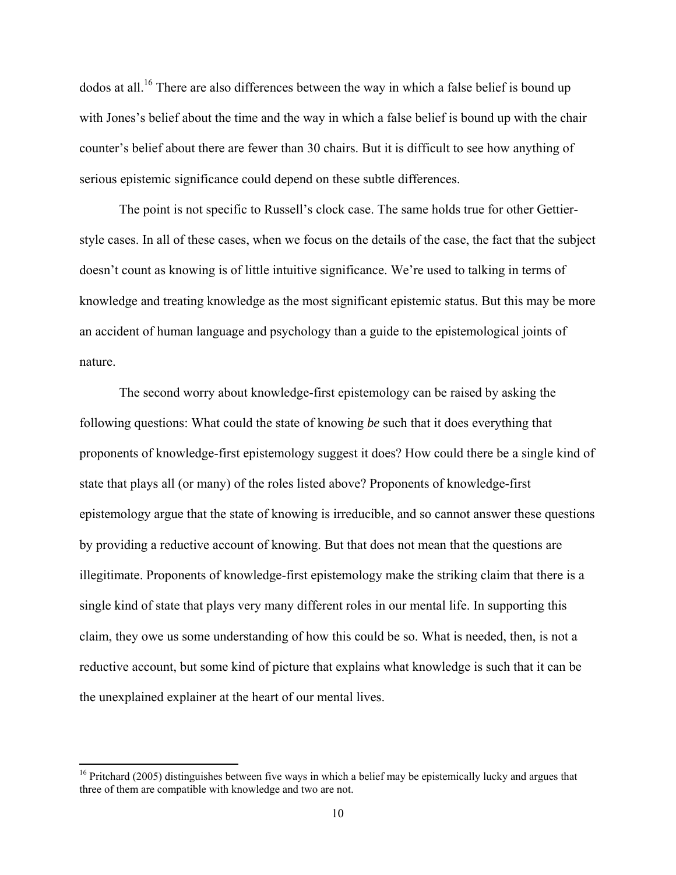dodos at all.<sup>16</sup> There are also differences between the way in which a false belief is bound up with Jones's belief about the time and the way in which a false belief is bound up with the chair counter's belief about there are fewer than 30 chairs. But it is difficult to see how anything of serious epistemic significance could depend on these subtle differences.

The point is not specific to Russell's clock case. The same holds true for other Gettierstyle cases. In all of these cases, when we focus on the details of the case, the fact that the subject doesn't count as knowing is of little intuitive significance. We're used to talking in terms of knowledge and treating knowledge as the most significant epistemic status. But this may be more an accident of human language and psychology than a guide to the epistemological joints of nature.

The second worry about knowledge-first epistemology can be raised by asking the following questions: What could the state of knowing *be* such that it does everything that proponents of knowledge-first epistemology suggest it does? How could there be a single kind of state that plays all (or many) of the roles listed above? Proponents of knowledge-first epistemology argue that the state of knowing is irreducible, and so cannot answer these questions by providing a reductive account of knowing. But that does not mean that the questions are illegitimate. Proponents of knowledge-first epistemology make the striking claim that there is a single kind of state that plays very many different roles in our mental life. In supporting this claim, they owe us some understanding of how this could be so. What is needed, then, is not a reductive account, but some kind of picture that explains what knowledge is such that it can be the unexplained explainer at the heart of our mental lives.

 $16$  Pritchard (2005) distinguishes between five ways in which a belief may be epistemically lucky and argues that three of them are compatible with knowledge and two are not.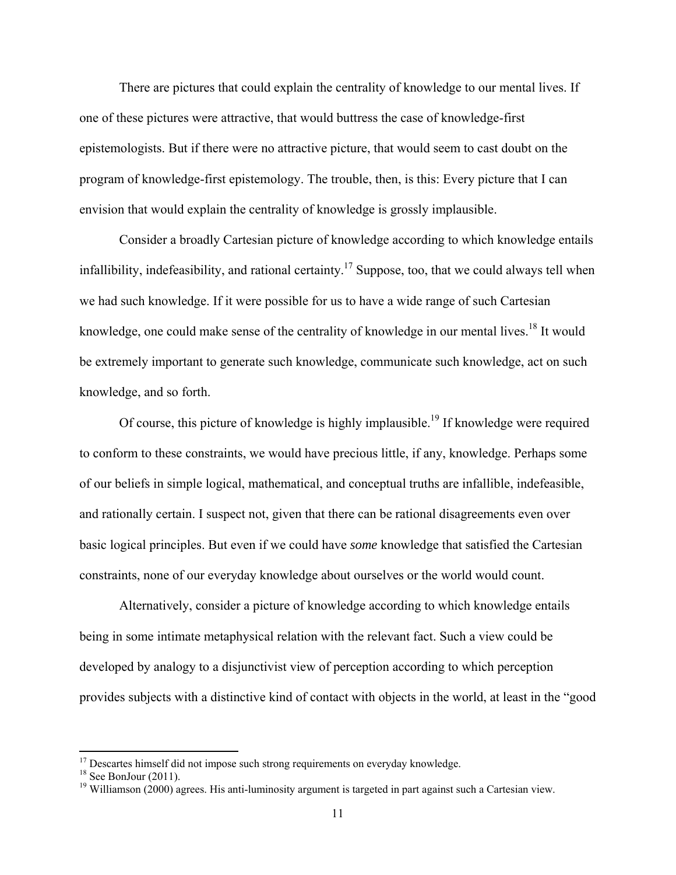There are pictures that could explain the centrality of knowledge to our mental lives. If one of these pictures were attractive, that would buttress the case of knowledge-first epistemologists. But if there were no attractive picture, that would seem to cast doubt on the program of knowledge-first epistemology. The trouble, then, is this: Every picture that I can envision that would explain the centrality of knowledge is grossly implausible.

Consider a broadly Cartesian picture of knowledge according to which knowledge entails infallibility, indefeasibility, and rational certainty.<sup>17</sup> Suppose, too, that we could always tell when we had such knowledge. If it were possible for us to have a wide range of such Cartesian knowledge, one could make sense of the centrality of knowledge in our mental lives.<sup>18</sup> It would be extremely important to generate such knowledge, communicate such knowledge, act on such knowledge, and so forth.

Of course, this picture of knowledge is highly implausible.<sup>19</sup> If knowledge were required to conform to these constraints, we would have precious little, if any, knowledge. Perhaps some of our beliefs in simple logical, mathematical, and conceptual truths are infallible, indefeasible, and rationally certain. I suspect not, given that there can be rational disagreements even over basic logical principles. But even if we could have *some* knowledge that satisfied the Cartesian constraints, none of our everyday knowledge about ourselves or the world would count.

Alternatively, consider a picture of knowledge according to which knowledge entails being in some intimate metaphysical relation with the relevant fact. Such a view could be developed by analogy to a disjunctivist view of perception according to which perception provides subjects with a distinctive kind of contact with objects in the world, at least in the "good

 $17$  Descartes himself did not impose such strong requirements on everyday knowledge.

 $18$  See BonJour (2011).

 $19$  Williamson (2000) agrees. His anti-luminosity argument is targeted in part against such a Cartesian view.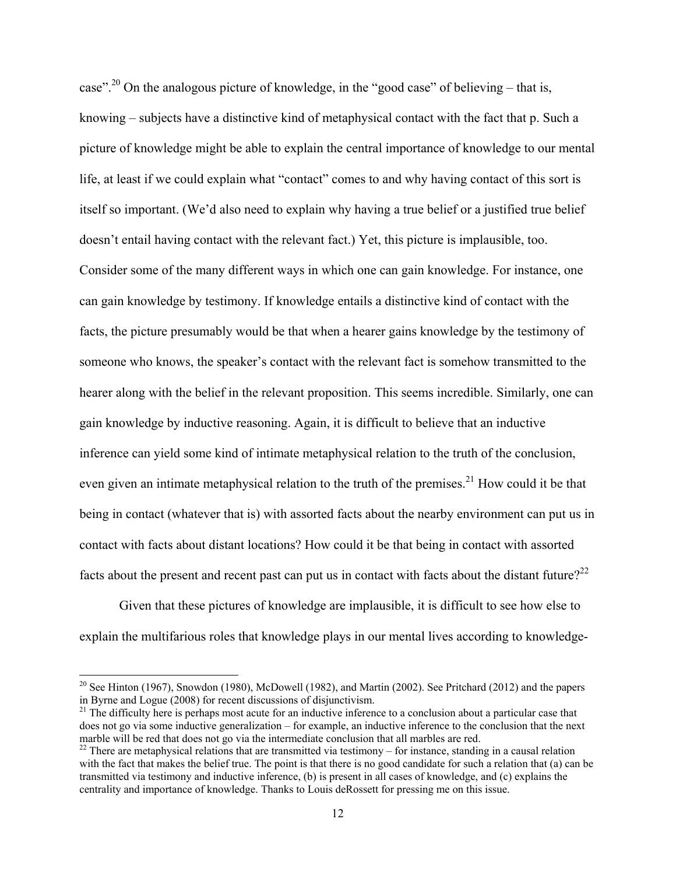case".<sup>20</sup> On the analogous picture of knowledge, in the "good case" of believing – that is, knowing – subjects have a distinctive kind of metaphysical contact with the fact that p. Such a picture of knowledge might be able to explain the central importance of knowledge to our mental life, at least if we could explain what "contact" comes to and why having contact of this sort is itself so important. (We'd also need to explain why having a true belief or a justified true belief doesn't entail having contact with the relevant fact.) Yet, this picture is implausible, too. Consider some of the many different ways in which one can gain knowledge. For instance, one can gain knowledge by testimony. If knowledge entails a distinctive kind of contact with the facts, the picture presumably would be that when a hearer gains knowledge by the testimony of someone who knows, the speaker's contact with the relevant fact is somehow transmitted to the hearer along with the belief in the relevant proposition. This seems incredible. Similarly, one can gain knowledge by inductive reasoning. Again, it is difficult to believe that an inductive inference can yield some kind of intimate metaphysical relation to the truth of the conclusion, even given an intimate metaphysical relation to the truth of the premises.<sup>21</sup> How could it be that being in contact (whatever that is) with assorted facts about the nearby environment can put us in contact with facts about distant locations? How could it be that being in contact with assorted facts about the present and recent past can put us in contact with facts about the distant future?<sup>22</sup>

Given that these pictures of knowledge are implausible, it is difficult to see how else to explain the multifarious roles that knowledge plays in our mental lives according to knowledge-

<sup>&</sup>lt;sup>20</sup> See Hinton (1967), Snowdon (1980), McDowell (1982), and Martin (2002). See Pritchard (2012) and the papers in Byrne and Logue (2008) for recent discussions of disjunctivism.<br><sup>21</sup> The difficulty here is perhaps most acute for an inductive inference to a conclusion about a particular case that

does not go via some inductive generalization – for example, an inductive inference to the conclusion that the next marble will be red that does not go via the intermediate conclusion that all marbles are red.<br><sup>22</sup> There are metaphysical relations that are transmitted via testimony – for instance, standing in a causal relation

with the fact that makes the belief true. The point is that there is no good candidate for such a relation that (a) can be transmitted via testimony and inductive inference, (b) is present in all cases of knowledge, and (c) explains the centrality and importance of knowledge. Thanks to Louis deRossett for pressing me on this issue.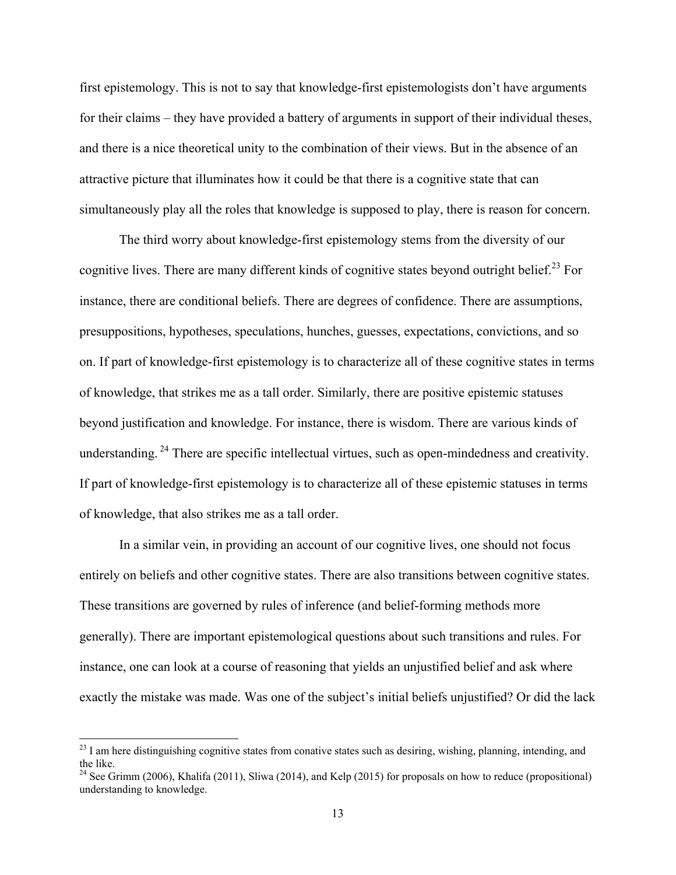first epistemology. This is not to say that knowledge-first epistemologists don't have arguments for their claims – they have provided a battery of arguments in support of their individual theses, and there is a nice theoretical unity to the combination of their views. But in the absence of an attractive picture that illuminates how it could be that there is a cognitive state that can simultaneously play all the roles that knowledge is supposed to play, there is reason for concern.

The third worry about knowledge-first epistemology stems from the diversity of our cognitive lives. There are many different kinds of cognitive states beyond outright belief.<sup>23</sup> For instance, there are conditional beliefs. There are degrees of confidence. There are assumptions, presuppositions, hypotheses, speculations, hunches, guesses, expectations, convictions, and so on. If part of knowledge-first epistemology is to characterize all of these cognitive states in terms of knowledge, that strikes me as a tall order. Similarly, there are positive epistemic statuses beyond justification and knowledge. For instance, there is wisdom. There are various kinds of understanding. 24 There are specific intellectual virtues, such as open-mindedness and creativity. If part of knowledge-first epistemology is to characterize all of these epistemic statuses in terms of knowledge, that also strikes me as a tall order.

In a similar vein, in providing an account of our cognitive lives, one should not focus entirely on beliefs and other cognitive states. There are also transitions between cognitive states. These transitions are governed by rules of inference (and belief-forming methods more generally). There are important epistemological questions about such transitions and rules. For instance, one can look at a course of reasoning that yields an unjustified belief and ask where exactly the mistake was made. Was one of the subject's initial beliefs unjustified? Or did the lack

 $^{23}$  I am here distinguishing cognitive states from conative states such as desiring, wishing, planning, intending, and the like.

<sup>&</sup>lt;sup>24</sup> See Grimm (2006), Khalifa (2011), Sliwa (2014), and Kelp (2015) for proposals on how to reduce (propositional) understanding to knowledge.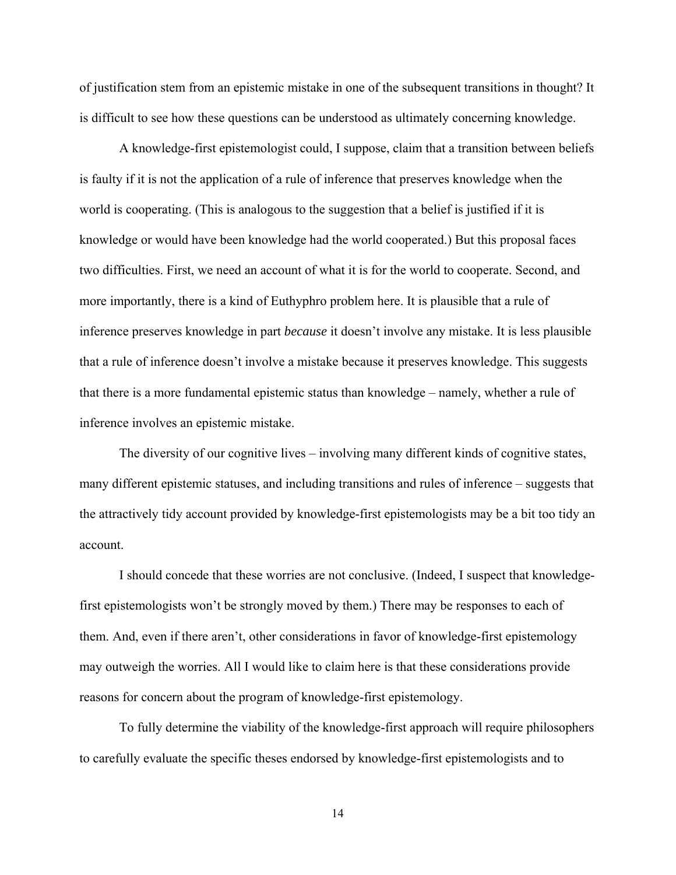of justification stem from an epistemic mistake in one of the subsequent transitions in thought? It is difficult to see how these questions can be understood as ultimately concerning knowledge.

A knowledge-first epistemologist could, I suppose, claim that a transition between beliefs is faulty if it is not the application of a rule of inference that preserves knowledge when the world is cooperating. (This is analogous to the suggestion that a belief is justified if it is knowledge or would have been knowledge had the world cooperated.) But this proposal faces two difficulties. First, we need an account of what it is for the world to cooperate. Second, and more importantly, there is a kind of Euthyphro problem here. It is plausible that a rule of inference preserves knowledge in part *because* it doesn't involve any mistake. It is less plausible that a rule of inference doesn't involve a mistake because it preserves knowledge. This suggests that there is a more fundamental epistemic status than knowledge – namely, whether a rule of inference involves an epistemic mistake.

The diversity of our cognitive lives – involving many different kinds of cognitive states, many different epistemic statuses, and including transitions and rules of inference – suggests that the attractively tidy account provided by knowledge-first epistemologists may be a bit too tidy an account.

I should concede that these worries are not conclusive. (Indeed, I suspect that knowledgefirst epistemologists won't be strongly moved by them.) There may be responses to each of them. And, even if there aren't, other considerations in favor of knowledge-first epistemology may outweigh the worries. All I would like to claim here is that these considerations provide reasons for concern about the program of knowledge-first epistemology.

To fully determine the viability of the knowledge-first approach will require philosophers to carefully evaluate the specific theses endorsed by knowledge-first epistemologists and to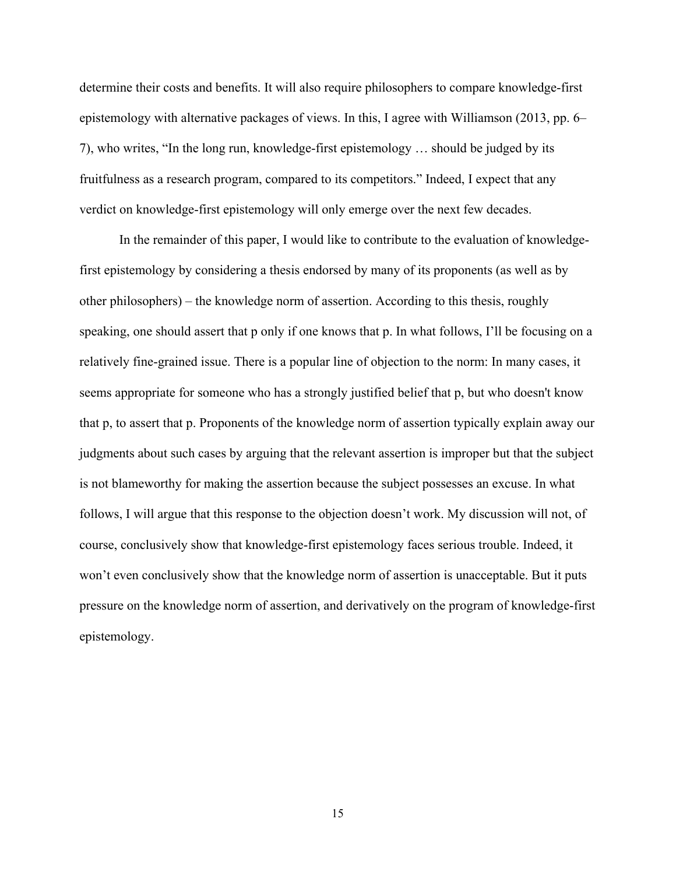determine their costs and benefits. It will also require philosophers to compare knowledge-first epistemology with alternative packages of views. In this, I agree with Williamson (2013, pp. 6– 7), who writes, "In the long run, knowledge-first epistemology … should be judged by its fruitfulness as a research program, compared to its competitors." Indeed, I expect that any verdict on knowledge-first epistemology will only emerge over the next few decades.

In the remainder of this paper, I would like to contribute to the evaluation of knowledgefirst epistemology by considering a thesis endorsed by many of its proponents (as well as by other philosophers) – the knowledge norm of assertion. According to this thesis, roughly speaking, one should assert that p only if one knows that p. In what follows, I'll be focusing on a relatively fine-grained issue. There is a popular line of objection to the norm: In many cases, it seems appropriate for someone who has a strongly justified belief that p, but who doesn't know that p, to assert that p. Proponents of the knowledge norm of assertion typically explain away our judgments about such cases by arguing that the relevant assertion is improper but that the subject is not blameworthy for making the assertion because the subject possesses an excuse. In what follows, I will argue that this response to the objection doesn't work. My discussion will not, of course, conclusively show that knowledge-first epistemology faces serious trouble. Indeed, it won't even conclusively show that the knowledge norm of assertion is unacceptable. But it puts pressure on the knowledge norm of assertion, and derivatively on the program of knowledge-first epistemology.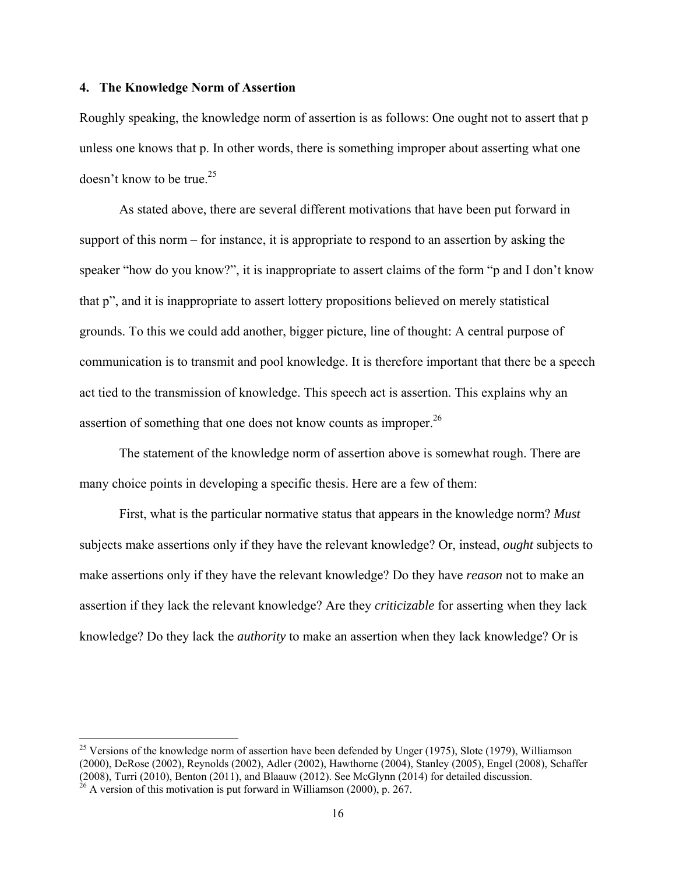#### **4. The Knowledge Norm of Assertion**

Roughly speaking, the knowledge norm of assertion is as follows: One ought not to assert that p unless one knows that p. In other words, there is something improper about asserting what one doesn't know to be true.<sup>25</sup>

As stated above, there are several different motivations that have been put forward in support of this norm – for instance, it is appropriate to respond to an assertion by asking the speaker "how do you know?", it is inappropriate to assert claims of the form "p and I don't know that p", and it is inappropriate to assert lottery propositions believed on merely statistical grounds. To this we could add another, bigger picture, line of thought: A central purpose of communication is to transmit and pool knowledge. It is therefore important that there be a speech act tied to the transmission of knowledge. This speech act is assertion. This explains why an assertion of something that one does not know counts as improper.<sup>26</sup>

The statement of the knowledge norm of assertion above is somewhat rough. There are many choice points in developing a specific thesis. Here are a few of them:

First, what is the particular normative status that appears in the knowledge norm? *Must* subjects make assertions only if they have the relevant knowledge? Or, instead, *ought* subjects to make assertions only if they have the relevant knowledge? Do they have *reason* not to make an assertion if they lack the relevant knowledge? Are they *criticizable* for asserting when they lack knowledge? Do they lack the *authority* to make an assertion when they lack knowledge? Or is

<sup>&</sup>lt;sup>25</sup> Versions of the knowledge norm of assertion have been defended by Unger (1975), Slote (1979), Williamson (2000), DeRose (2002), Reynolds (2002), Adler (2002), Hawthorne (2004), Stanley (2005), Engel (2008), Schaffer (2008), Turri (2010), Benton (2011), and Blaauw (2012). See McGlynn (2014) for detailed discussion.

 $^{26}$  A version of this motivation is put forward in Williamson (2000), p. 267.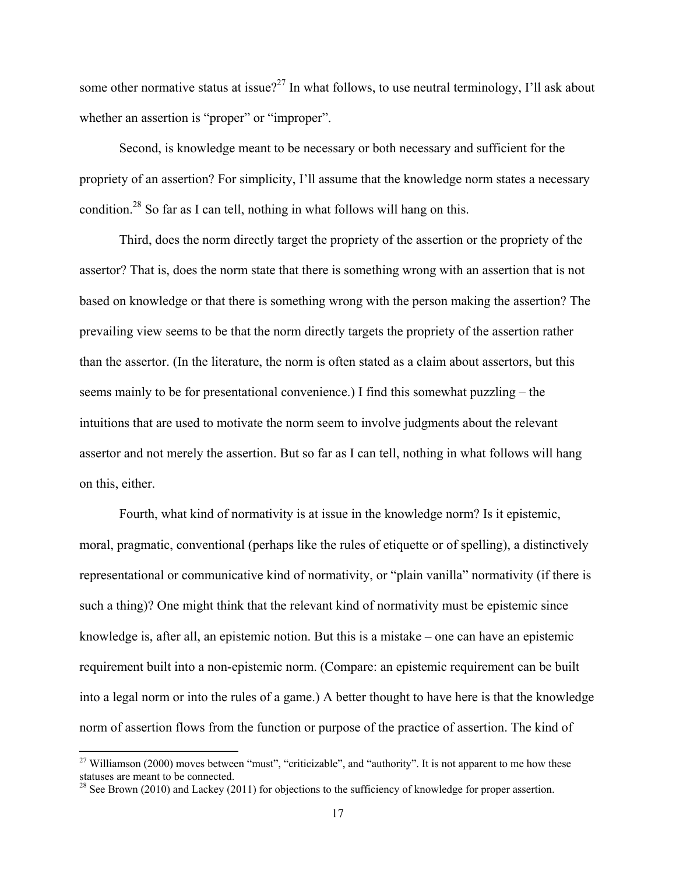some other normative status at issue?<sup>27</sup> In what follows, to use neutral terminology, I'll ask about whether an assertion is "proper" or "improper".

Second, is knowledge meant to be necessary or both necessary and sufficient for the propriety of an assertion? For simplicity, I'll assume that the knowledge norm states a necessary condition.28 So far as I can tell, nothing in what follows will hang on this.

Third, does the norm directly target the propriety of the assertion or the propriety of the assertor? That is, does the norm state that there is something wrong with an assertion that is not based on knowledge or that there is something wrong with the person making the assertion? The prevailing view seems to be that the norm directly targets the propriety of the assertion rather than the assertor. (In the literature, the norm is often stated as a claim about assertors, but this seems mainly to be for presentational convenience.) I find this somewhat puzzling – the intuitions that are used to motivate the norm seem to involve judgments about the relevant assertor and not merely the assertion. But so far as I can tell, nothing in what follows will hang on this, either.

Fourth, what kind of normativity is at issue in the knowledge norm? Is it epistemic, moral, pragmatic, conventional (perhaps like the rules of etiquette or of spelling), a distinctively representational or communicative kind of normativity, or "plain vanilla" normativity (if there is such a thing)? One might think that the relevant kind of normativity must be epistemic since knowledge is, after all, an epistemic notion. But this is a mistake – one can have an epistemic requirement built into a non-epistemic norm. (Compare: an epistemic requirement can be built into a legal norm or into the rules of a game.) A better thought to have here is that the knowledge norm of assertion flows from the function or purpose of the practice of assertion. The kind of

<sup>&</sup>lt;sup>27</sup> Williamson (2000) moves between "must", "criticizable", and "authority". It is not apparent to me how these statuses are meant to be connected.

<sup>&</sup>lt;sup>28</sup> See Brown (2010) and Lackey (2011) for objections to the sufficiency of knowledge for proper assertion.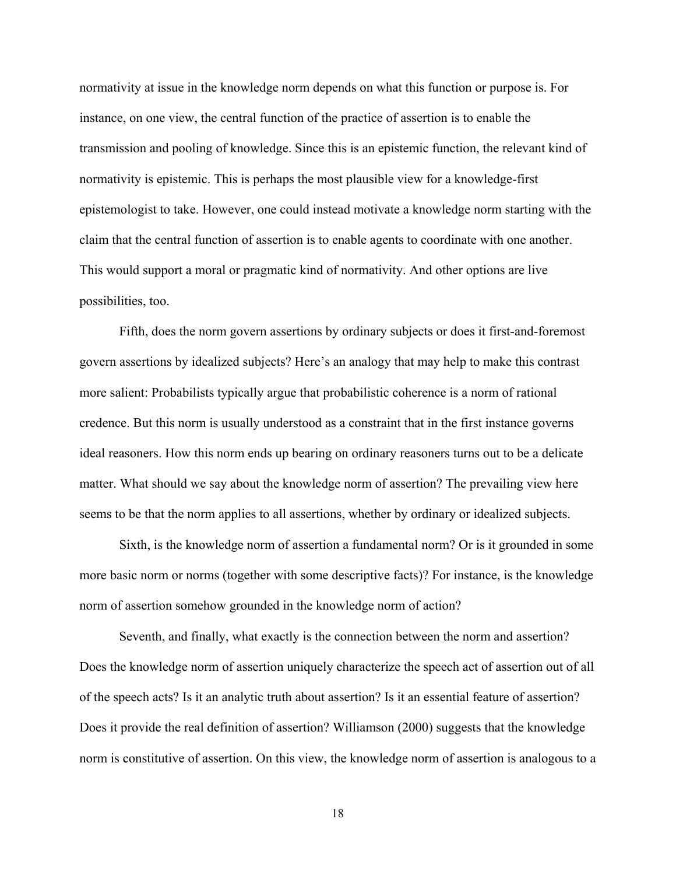normativity at issue in the knowledge norm depends on what this function or purpose is. For instance, on one view, the central function of the practice of assertion is to enable the transmission and pooling of knowledge. Since this is an epistemic function, the relevant kind of normativity is epistemic. This is perhaps the most plausible view for a knowledge-first epistemologist to take. However, one could instead motivate a knowledge norm starting with the claim that the central function of assertion is to enable agents to coordinate with one another. This would support a moral or pragmatic kind of normativity. And other options are live possibilities, too.

Fifth, does the norm govern assertions by ordinary subjects or does it first-and-foremost govern assertions by idealized subjects? Here's an analogy that may help to make this contrast more salient: Probabilists typically argue that probabilistic coherence is a norm of rational credence. But this norm is usually understood as a constraint that in the first instance governs ideal reasoners. How this norm ends up bearing on ordinary reasoners turns out to be a delicate matter. What should we say about the knowledge norm of assertion? The prevailing view here seems to be that the norm applies to all assertions, whether by ordinary or idealized subjects.

Sixth, is the knowledge norm of assertion a fundamental norm? Or is it grounded in some more basic norm or norms (together with some descriptive facts)? For instance, is the knowledge norm of assertion somehow grounded in the knowledge norm of action?

Seventh, and finally, what exactly is the connection between the norm and assertion? Does the knowledge norm of assertion uniquely characterize the speech act of assertion out of all of the speech acts? Is it an analytic truth about assertion? Is it an essential feature of assertion? Does it provide the real definition of assertion? Williamson (2000) suggests that the knowledge norm is constitutive of assertion. On this view, the knowledge norm of assertion is analogous to a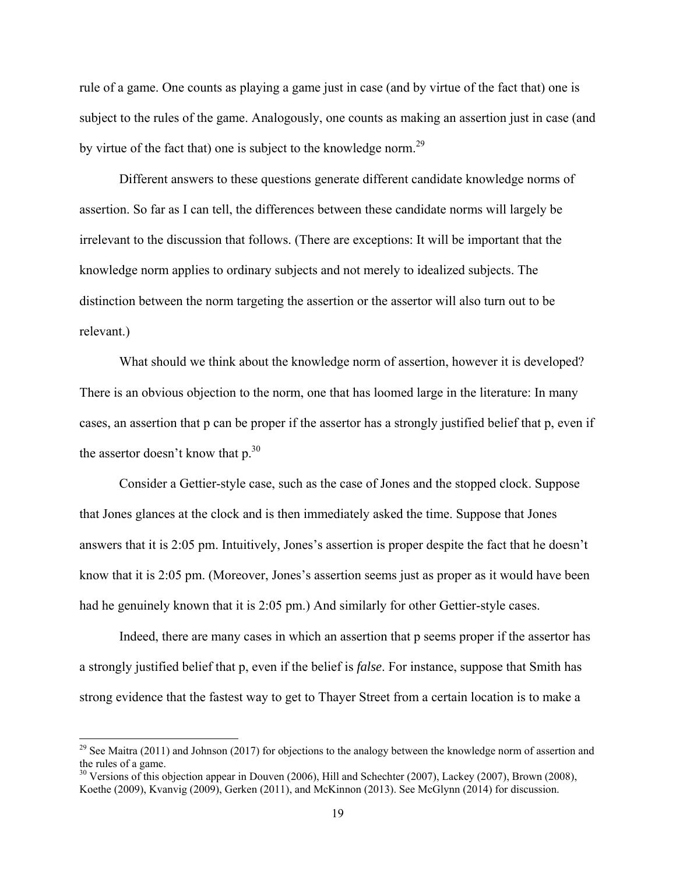rule of a game. One counts as playing a game just in case (and by virtue of the fact that) one is subject to the rules of the game. Analogously, one counts as making an assertion just in case (and by virtue of the fact that) one is subject to the knowledge norm.<sup>29</sup>

Different answers to these questions generate different candidate knowledge norms of assertion. So far as I can tell, the differences between these candidate norms will largely be irrelevant to the discussion that follows. (There are exceptions: It will be important that the knowledge norm applies to ordinary subjects and not merely to idealized subjects. The distinction between the norm targeting the assertion or the assertor will also turn out to be relevant.)

What should we think about the knowledge norm of assertion, however it is developed? There is an obvious objection to the norm, one that has loomed large in the literature: In many cases, an assertion that p can be proper if the assertor has a strongly justified belief that p, even if the assertor doesn't know that  $p^{30}$ .

Consider a Gettier-style case, such as the case of Jones and the stopped clock. Suppose that Jones glances at the clock and is then immediately asked the time. Suppose that Jones answers that it is 2:05 pm. Intuitively, Jones's assertion is proper despite the fact that he doesn't know that it is 2:05 pm. (Moreover, Jones's assertion seems just as proper as it would have been had he genuinely known that it is 2:05 pm.) And similarly for other Gettier-style cases.

Indeed, there are many cases in which an assertion that p seems proper if the assertor has a strongly justified belief that p, even if the belief is *false*. For instance, suppose that Smith has strong evidence that the fastest way to get to Thayer Street from a certain location is to make a

<sup>&</sup>lt;sup>29</sup> See Maitra (2011) and Johnson (2017) for objections to the analogy between the knowledge norm of assertion and the rules of a game.

<sup>&</sup>lt;sup>30</sup> Versions of this objection appear in Douven (2006), Hill and Schechter (2007), Lackey (2007), Brown (2008), Koethe (2009), Kvanvig (2009), Gerken (2011), and McKinnon (2013). See McGlynn (2014) for discussion.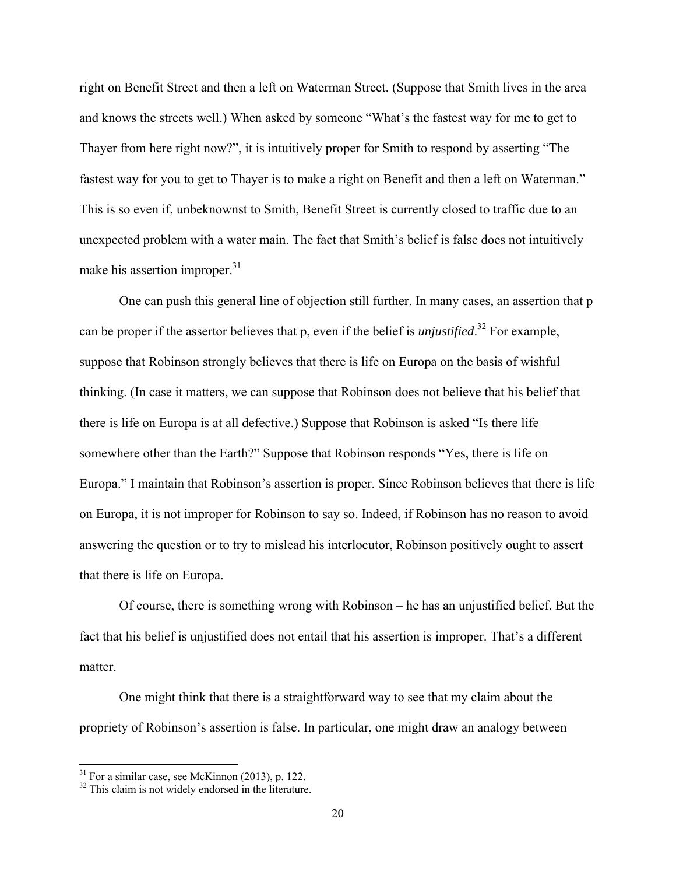right on Benefit Street and then a left on Waterman Street. (Suppose that Smith lives in the area and knows the streets well.) When asked by someone "What's the fastest way for me to get to Thayer from here right now?", it is intuitively proper for Smith to respond by asserting "The fastest way for you to get to Thayer is to make a right on Benefit and then a left on Waterman." This is so even if, unbeknownst to Smith, Benefit Street is currently closed to traffic due to an unexpected problem with a water main. The fact that Smith's belief is false does not intuitively make his assertion improper.<sup>31</sup>

One can push this general line of objection still further. In many cases, an assertion that p can be proper if the assertor believes that p, even if the belief is *unjustified*. 32 For example, suppose that Robinson strongly believes that there is life on Europa on the basis of wishful thinking. (In case it matters, we can suppose that Robinson does not believe that his belief that there is life on Europa is at all defective.) Suppose that Robinson is asked "Is there life somewhere other than the Earth?" Suppose that Robinson responds "Yes, there is life on Europa." I maintain that Robinson's assertion is proper. Since Robinson believes that there is life on Europa, it is not improper for Robinson to say so. Indeed, if Robinson has no reason to avoid answering the question or to try to mislead his interlocutor, Robinson positively ought to assert that there is life on Europa.

Of course, there is something wrong with Robinson – he has an unjustified belief. But the fact that his belief is unjustified does not entail that his assertion is improper. That's a different matter.

One might think that there is a straightforward way to see that my claim about the propriety of Robinson's assertion is false. In particular, one might draw an analogy between

 $31$  For a similar case, see McKinnon (2013), p. 122.

<sup>&</sup>lt;sup>32</sup> This claim is not widely endorsed in the literature.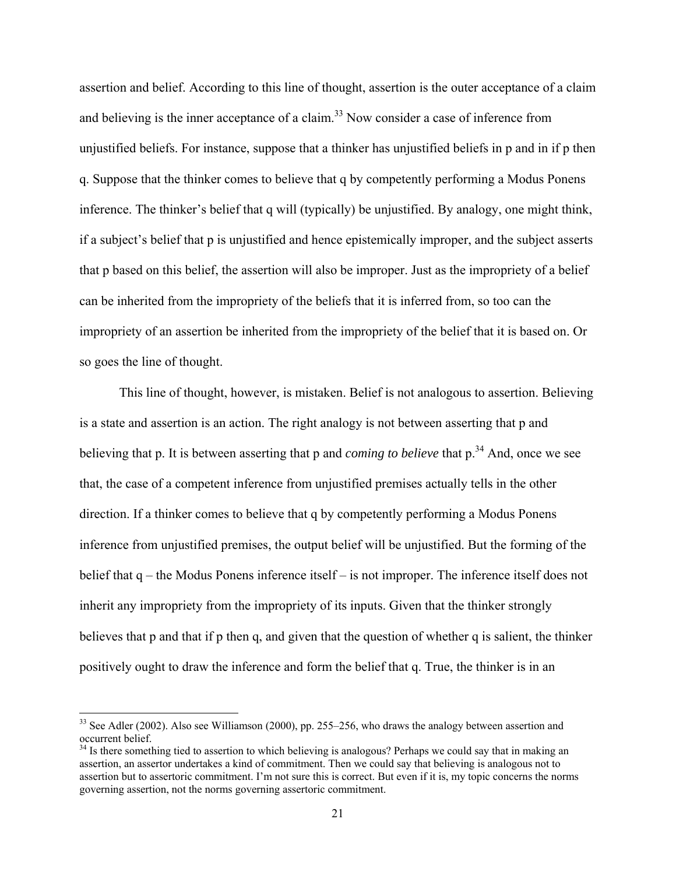assertion and belief. According to this line of thought, assertion is the outer acceptance of a claim and believing is the inner acceptance of a claim.<sup>33</sup> Now consider a case of inference from unjustified beliefs. For instance, suppose that a thinker has unjustified beliefs in p and in if p then q. Suppose that the thinker comes to believe that q by competently performing a Modus Ponens inference. The thinker's belief that q will (typically) be unjustified. By analogy, one might think, if a subject's belief that p is unjustified and hence epistemically improper, and the subject asserts that p based on this belief, the assertion will also be improper. Just as the impropriety of a belief can be inherited from the impropriety of the beliefs that it is inferred from, so too can the impropriety of an assertion be inherited from the impropriety of the belief that it is based on. Or so goes the line of thought.

This line of thought, however, is mistaken. Belief is not analogous to assertion. Believing is a state and assertion is an action. The right analogy is not between asserting that p and believing that p. It is between asserting that p and *coming to believe* that p.<sup>34</sup> And, once we see that, the case of a competent inference from unjustified premises actually tells in the other direction. If a thinker comes to believe that q by competently performing a Modus Ponens inference from unjustified premises, the output belief will be unjustified. But the forming of the belief that q – the Modus Ponens inference itself – is not improper. The inference itself does not inherit any impropriety from the impropriety of its inputs. Given that the thinker strongly believes that p and that if p then q, and given that the question of whether q is salient, the thinker positively ought to draw the inference and form the belief that q. True, the thinker is in an

 $33$  See Adler (2002). Also see Williamson (2000), pp. 255–256, who draws the analogy between assertion and occurrent belief.

<sup>&</sup>lt;sup>34</sup> Is there something tied to assertion to which believing is analogous? Perhaps we could say that in making an assertion, an assertor undertakes a kind of commitment. Then we could say that believing is analogous not to assertion but to assertoric commitment. I'm not sure this is correct. But even if it is, my topic concerns the norms governing assertion, not the norms governing assertoric commitment.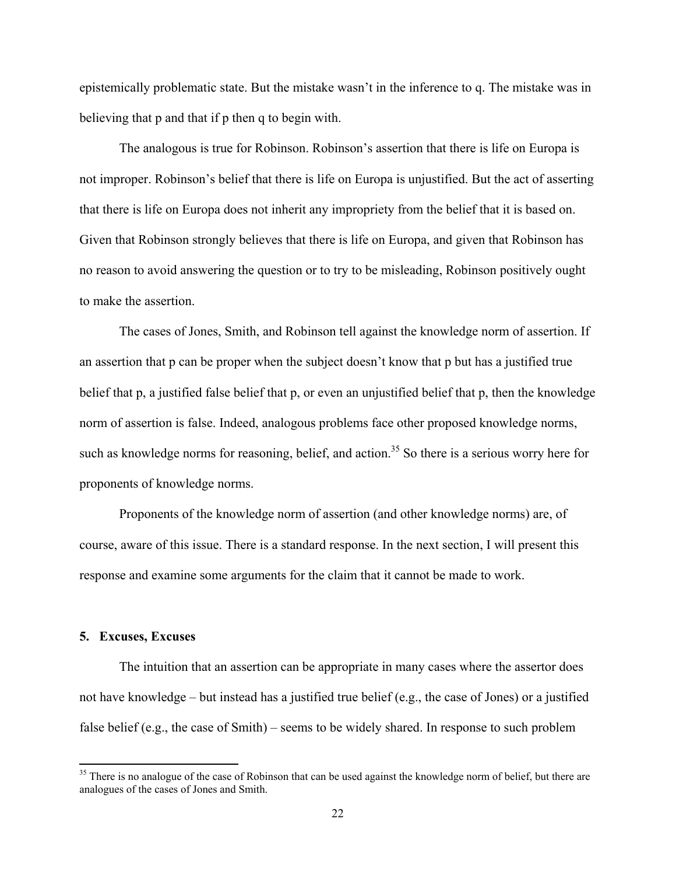epistemically problematic state. But the mistake wasn't in the inference to q. The mistake was in believing that p and that if p then q to begin with.

The analogous is true for Robinson. Robinson's assertion that there is life on Europa is not improper. Robinson's belief that there is life on Europa is unjustified. But the act of asserting that there is life on Europa does not inherit any impropriety from the belief that it is based on. Given that Robinson strongly believes that there is life on Europa, and given that Robinson has no reason to avoid answering the question or to try to be misleading, Robinson positively ought to make the assertion.

The cases of Jones, Smith, and Robinson tell against the knowledge norm of assertion. If an assertion that p can be proper when the subject doesn't know that p but has a justified true belief that p, a justified false belief that p, or even an unjustified belief that p, then the knowledge norm of assertion is false. Indeed, analogous problems face other proposed knowledge norms, such as knowledge norms for reasoning, belief, and action.<sup>35</sup> So there is a serious worry here for proponents of knowledge norms.

Proponents of the knowledge norm of assertion (and other knowledge norms) are, of course, aware of this issue. There is a standard response. In the next section, I will present this response and examine some arguments for the claim that it cannot be made to work.

#### **5. Excuses, Excuses**

The intuition that an assertion can be appropriate in many cases where the assertor does not have knowledge – but instead has a justified true belief (e.g., the case of Jones) or a justified false belief (e.g., the case of Smith) – seems to be widely shared. In response to such problem

<sup>&</sup>lt;sup>35</sup> There is no analogue of the case of Robinson that can be used against the knowledge norm of belief, but there are analogues of the cases of Jones and Smith.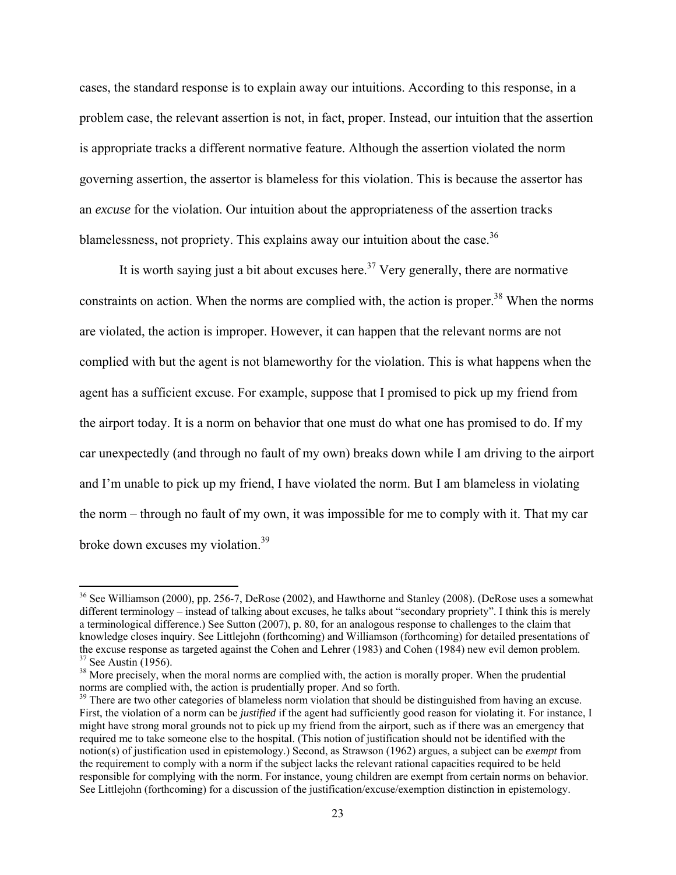cases, the standard response is to explain away our intuitions. According to this response, in a problem case, the relevant assertion is not, in fact, proper. Instead, our intuition that the assertion is appropriate tracks a different normative feature. Although the assertion violated the norm governing assertion, the assertor is blameless for this violation. This is because the assertor has an *excuse* for the violation. Our intuition about the appropriateness of the assertion tracks blamelessness, not propriety. This explains away our intuition about the case.<sup>36</sup>

It is worth saying just a bit about excuses here.<sup>37</sup> Very generally, there are normative constraints on action. When the norms are complied with, the action is proper.<sup>38</sup> When the norms are violated, the action is improper. However, it can happen that the relevant norms are not complied with but the agent is not blameworthy for the violation. This is what happens when the agent has a sufficient excuse. For example, suppose that I promised to pick up my friend from the airport today. It is a norm on behavior that one must do what one has promised to do. If my car unexpectedly (and through no fault of my own) breaks down while I am driving to the airport and I'm unable to pick up my friend, I have violated the norm. But I am blameless in violating the norm – through no fault of my own, it was impossible for me to comply with it. That my car broke down excuses my violation.39

<sup>&</sup>lt;sup>36</sup> See Williamson (2000), pp. 256-7, DeRose (2002), and Hawthorne and Stanley (2008). (DeRose uses a somewhat different terminology – instead of talking about excuses, he talks about "secondary propriety". I think this is merely a terminological difference.) See Sutton (2007), p. 80, for an analogous response to challenges to the claim that knowledge closes inquiry. See Littlejohn (forthcoming) and Williamson (forthcoming) for detailed presentations of the excuse response as targeted against the Cohen and Lehrer (1983) and Cohen (1984) new evil demon problem.  $37$  See Austin (1956).

<sup>&</sup>lt;sup>38</sup> More precisely, when the moral norms are complied with, the action is morally proper. When the prudential norms are complied with, the action is prudentially proper. And so forth.

 $39$  There are two other categories of blameless norm violation that should be distinguished from having an excuse. First, the violation of a norm can be *justified* if the agent had sufficiently good reason for violating it. For instance, I might have strong moral grounds not to pick up my friend from the airport, such as if there was an emergency that required me to take someone else to the hospital. (This notion of justification should not be identified with the notion(s) of justification used in epistemology.) Second, as Strawson (1962) argues, a subject can be *exempt* from the requirement to comply with a norm if the subject lacks the relevant rational capacities required to be held responsible for complying with the norm. For instance, young children are exempt from certain norms on behavior. See Littlejohn (forthcoming) for a discussion of the justification/excuse/exemption distinction in epistemology.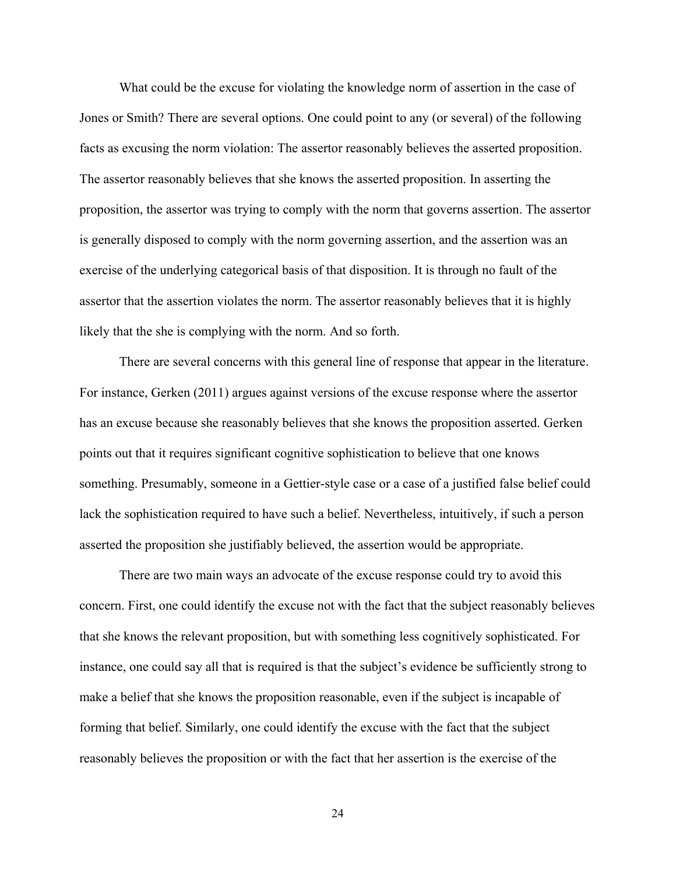What could be the excuse for violating the knowledge norm of assertion in the case of Jones or Smith? There are several options. One could point to any (or several) of the following facts as excusing the norm violation: The assertor reasonably believes the asserted proposition. The assertor reasonably believes that she knows the asserted proposition. In asserting the proposition, the assertor was trying to comply with the norm that governs assertion. The assertor is generally disposed to comply with the norm governing assertion, and the assertion was an exercise of the underlying categorical basis of that disposition. It is through no fault of the assertor that the assertion violates the norm. The assertor reasonably believes that it is highly likely that the she is complying with the norm. And so forth.

There are several concerns with this general line of response that appear in the literature. For instance, Gerken (2011) argues against versions of the excuse response where the assertor has an excuse because she reasonably believes that she knows the proposition asserted. Gerken points out that it requires significant cognitive sophistication to believe that one knows something. Presumably, someone in a Gettier-style case or a case of a justified false belief could lack the sophistication required to have such a belief. Nevertheless, intuitively, if such a person asserted the proposition she justifiably believed, the assertion would be appropriate.

There are two main ways an advocate of the excuse response could try to avoid this concern. First, one could identify the excuse not with the fact that the subject reasonably believes that she knows the relevant proposition, but with something less cognitively sophisticated. For instance, one could say all that is required is that the subject's evidence be sufficiently strong to make a belief that she knows the proposition reasonable, even if the subject is incapable of forming that belief. Similarly, one could identify the excuse with the fact that the subject reasonably believes the proposition or with the fact that her assertion is the exercise of the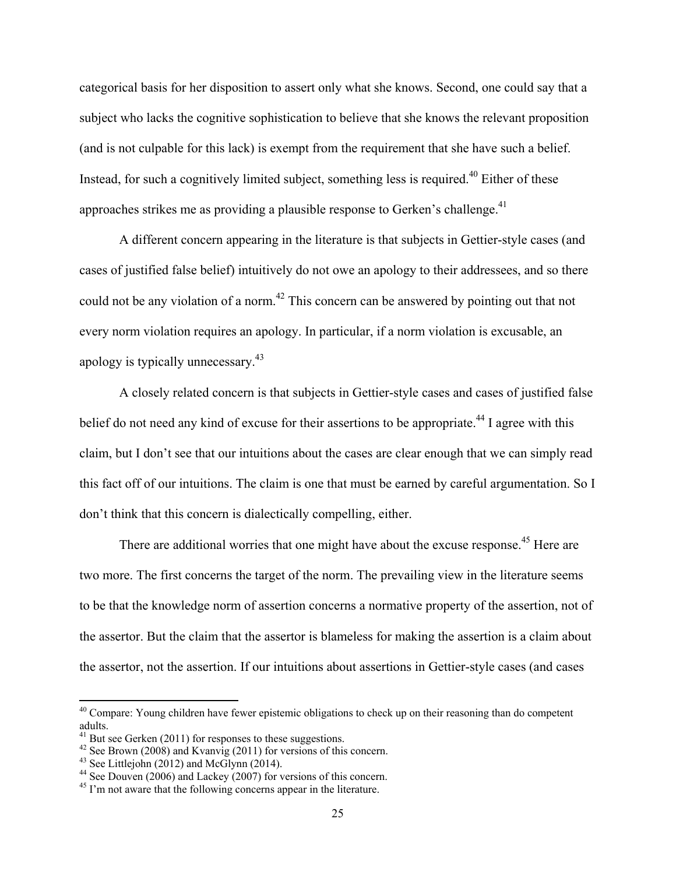categorical basis for her disposition to assert only what she knows. Second, one could say that a subject who lacks the cognitive sophistication to believe that she knows the relevant proposition (and is not culpable for this lack) is exempt from the requirement that she have such a belief. Instead, for such a cognitively limited subject, something less is required.<sup>40</sup> Either of these approaches strikes me as providing a plausible response to Gerken's challenge.<sup>41</sup>

A different concern appearing in the literature is that subjects in Gettier-style cases (and cases of justified false belief) intuitively do not owe an apology to their addressees, and so there could not be any violation of a norm.<sup>42</sup> This concern can be answered by pointing out that not every norm violation requires an apology. In particular, if a norm violation is excusable, an apology is typically unnecessary.43

A closely related concern is that subjects in Gettier-style cases and cases of justified false belief do not need any kind of excuse for their assertions to be appropriate.<sup>44</sup> I agree with this claim, but I don't see that our intuitions about the cases are clear enough that we can simply read this fact off of our intuitions. The claim is one that must be earned by careful argumentation. So I don't think that this concern is dialectically compelling, either.

There are additional worries that one might have about the excuse response.<sup>45</sup> Here are two more. The first concerns the target of the norm. The prevailing view in the literature seems to be that the knowledge norm of assertion concerns a normative property of the assertion, not of the assertor. But the claim that the assertor is blameless for making the assertion is a claim about the assertor, not the assertion. If our intuitions about assertions in Gettier-style cases (and cases

<sup>&</sup>lt;sup>40</sup> Compare: Young children have fewer epistemic obligations to check up on their reasoning than do competent adults.

<sup>&</sup>lt;sup>41</sup> But see Gerken (2011) for responses to these suggestions.<br><sup>42</sup> See Brown (2008) and Kvanvig (2011) for versions of this concern.<br><sup>43</sup> See Littlejohn (2012) and McGlynn (2014).

<sup>&</sup>lt;sup>44</sup> See Douven (2006) and Lackey (2007) for versions of this concern.

<sup>&</sup>lt;sup>45</sup> I'm not aware that the following concerns appear in the literature.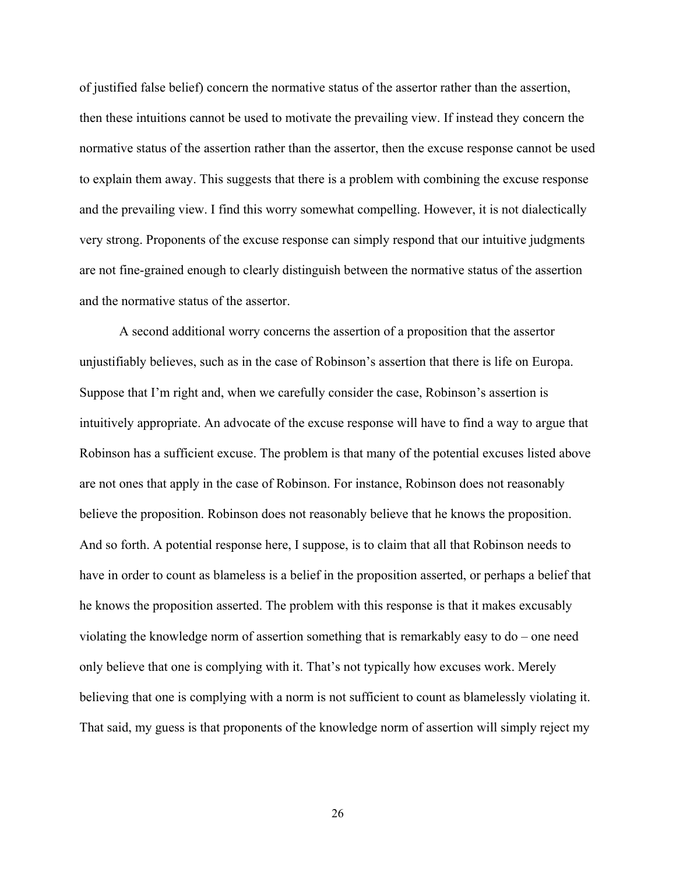of justified false belief) concern the normative status of the assertor rather than the assertion, then these intuitions cannot be used to motivate the prevailing view. If instead they concern the normative status of the assertion rather than the assertor, then the excuse response cannot be used to explain them away. This suggests that there is a problem with combining the excuse response and the prevailing view. I find this worry somewhat compelling. However, it is not dialectically very strong. Proponents of the excuse response can simply respond that our intuitive judgments are not fine-grained enough to clearly distinguish between the normative status of the assertion and the normative status of the assertor.

A second additional worry concerns the assertion of a proposition that the assertor unjustifiably believes, such as in the case of Robinson's assertion that there is life on Europa. Suppose that I'm right and, when we carefully consider the case, Robinson's assertion is intuitively appropriate. An advocate of the excuse response will have to find a way to argue that Robinson has a sufficient excuse. The problem is that many of the potential excuses listed above are not ones that apply in the case of Robinson. For instance, Robinson does not reasonably believe the proposition. Robinson does not reasonably believe that he knows the proposition. And so forth. A potential response here, I suppose, is to claim that all that Robinson needs to have in order to count as blameless is a belief in the proposition asserted, or perhaps a belief that he knows the proposition asserted. The problem with this response is that it makes excusably violating the knowledge norm of assertion something that is remarkably easy to do – one need only believe that one is complying with it. That's not typically how excuses work. Merely believing that one is complying with a norm is not sufficient to count as blamelessly violating it. That said, my guess is that proponents of the knowledge norm of assertion will simply reject my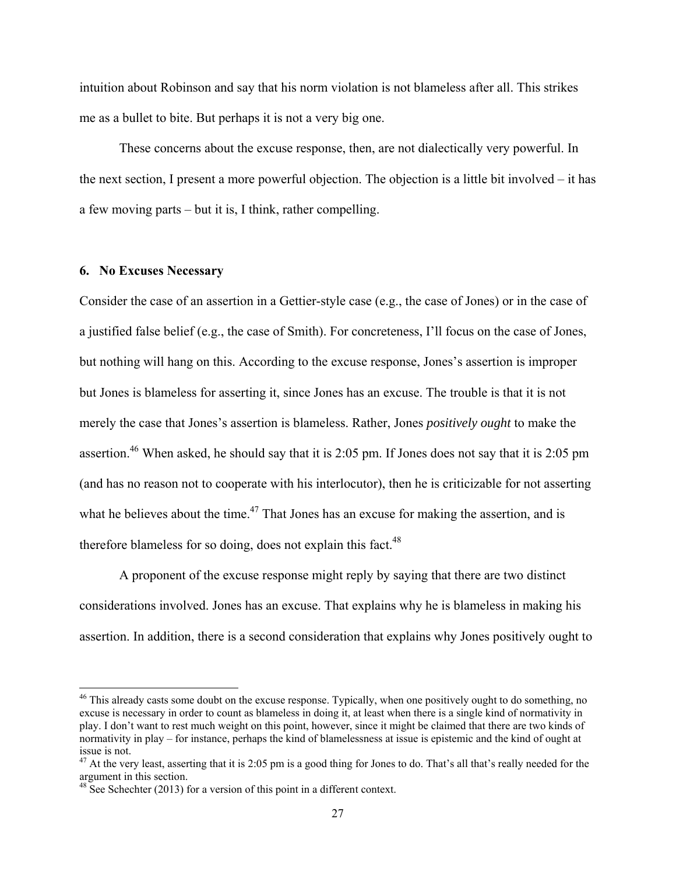intuition about Robinson and say that his norm violation is not blameless after all. This strikes me as a bullet to bite. But perhaps it is not a very big one.

These concerns about the excuse response, then, are not dialectically very powerful. In the next section, I present a more powerful objection. The objection is a little bit involved – it has a few moving parts – but it is, I think, rather compelling.

#### **6. No Excuses Necessary**

Consider the case of an assertion in a Gettier-style case (e.g., the case of Jones) or in the case of a justified false belief (e.g., the case of Smith). For concreteness, I'll focus on the case of Jones, but nothing will hang on this. According to the excuse response, Jones's assertion is improper but Jones is blameless for asserting it, since Jones has an excuse. The trouble is that it is not merely the case that Jones's assertion is blameless. Rather, Jones *positively ought* to make the assertion.46 When asked, he should say that it is 2:05 pm. If Jones does not say that it is 2:05 pm (and has no reason not to cooperate with his interlocutor), then he is criticizable for not asserting what he believes about the time.<sup>47</sup> That Jones has an excuse for making the assertion, and is therefore blameless for so doing, does not explain this fact. $48$ 

 A proponent of the excuse response might reply by saying that there are two distinct considerations involved. Jones has an excuse. That explains why he is blameless in making his assertion. In addition, there is a second consideration that explains why Jones positively ought to

 $46$  This already casts some doubt on the excuse response. Typically, when one positively ought to do something, no excuse is necessary in order to count as blameless in doing it, at least when there is a single kind of normativity in play. I don't want to rest much weight on this point, however, since it might be claimed that there are two kinds of normativity in play – for instance, perhaps the kind of blamelessness at issue is epistemic and the kind of ought at issue is not.

 $47$  At the very least, asserting that it is 2:05 pm is a good thing for Jones to do. That's all that's really needed for the argument in this section.

 $48\text{ See Schechter}$  (2013) for a version of this point in a different context.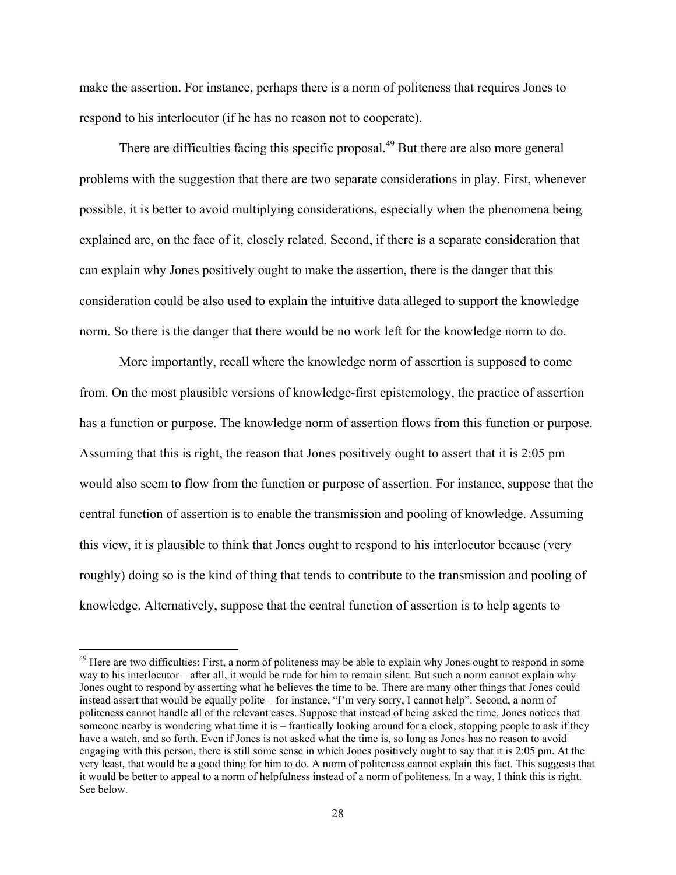make the assertion. For instance, perhaps there is a norm of politeness that requires Jones to respond to his interlocutor (if he has no reason not to cooperate).

There are difficulties facing this specific proposal.<sup>49</sup> But there are also more general problems with the suggestion that there are two separate considerations in play. First, whenever possible, it is better to avoid multiplying considerations, especially when the phenomena being explained are, on the face of it, closely related. Second, if there is a separate consideration that can explain why Jones positively ought to make the assertion, there is the danger that this consideration could be also used to explain the intuitive data alleged to support the knowledge norm. So there is the danger that there would be no work left for the knowledge norm to do.

More importantly, recall where the knowledge norm of assertion is supposed to come from. On the most plausible versions of knowledge-first epistemology, the practice of assertion has a function or purpose. The knowledge norm of assertion flows from this function or purpose. Assuming that this is right, the reason that Jones positively ought to assert that it is 2:05 pm would also seem to flow from the function or purpose of assertion. For instance, suppose that the central function of assertion is to enable the transmission and pooling of knowledge. Assuming this view, it is plausible to think that Jones ought to respond to his interlocutor because (very roughly) doing so is the kind of thing that tends to contribute to the transmission and pooling of knowledge. Alternatively, suppose that the central function of assertion is to help agents to

<sup>&</sup>lt;sup>49</sup> Here are two difficulties: First, a norm of politeness may be able to explain why Jones ought to respond in some way to his interlocutor – after all, it would be rude for him to remain silent. But such a norm cannot explain why Jones ought to respond by asserting what he believes the time to be. There are many other things that Jones could instead assert that would be equally polite – for instance, "I'm very sorry, I cannot help". Second, a norm of politeness cannot handle all of the relevant cases. Suppose that instead of being asked the time, Jones notices that someone nearby is wondering what time it is – frantically looking around for a clock, stopping people to ask if they have a watch, and so forth. Even if Jones is not asked what the time is, so long as Jones has no reason to avoid engaging with this person, there is still some sense in which Jones positively ought to say that it is 2:05 pm. At the very least, that would be a good thing for him to do. A norm of politeness cannot explain this fact. This suggests that it would be better to appeal to a norm of helpfulness instead of a norm of politeness. In a way, I think this is right. See below.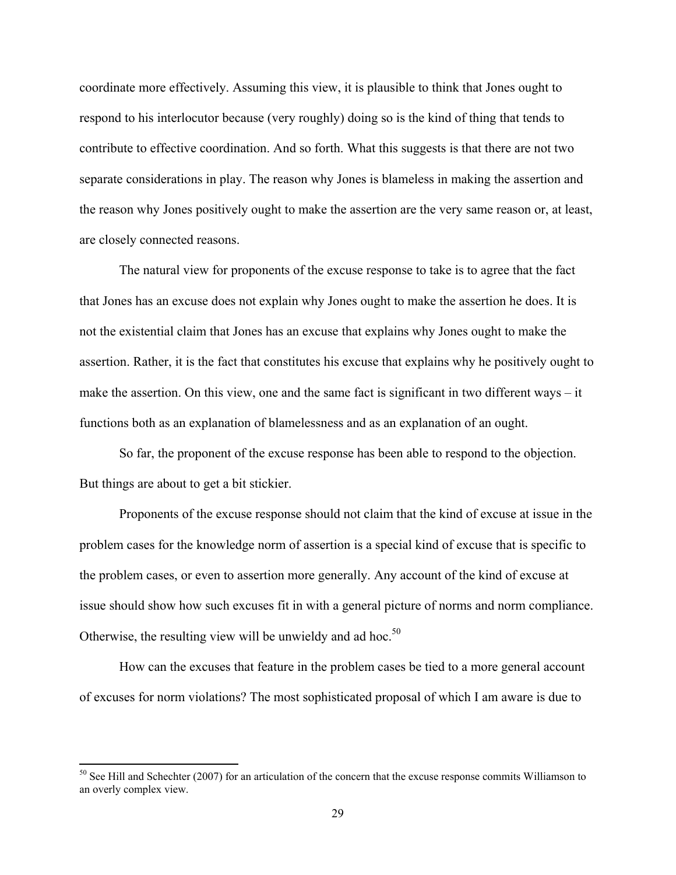coordinate more effectively. Assuming this view, it is plausible to think that Jones ought to respond to his interlocutor because (very roughly) doing so is the kind of thing that tends to contribute to effective coordination. And so forth. What this suggests is that there are not two separate considerations in play. The reason why Jones is blameless in making the assertion and the reason why Jones positively ought to make the assertion are the very same reason or, at least, are closely connected reasons.

The natural view for proponents of the excuse response to take is to agree that the fact that Jones has an excuse does not explain why Jones ought to make the assertion he does. It is not the existential claim that Jones has an excuse that explains why Jones ought to make the assertion. Rather, it is the fact that constitutes his excuse that explains why he positively ought to make the assertion. On this view, one and the same fact is significant in two different ways – it functions both as an explanation of blamelessness and as an explanation of an ought.

So far, the proponent of the excuse response has been able to respond to the objection. But things are about to get a bit stickier.

Proponents of the excuse response should not claim that the kind of excuse at issue in the problem cases for the knowledge norm of assertion is a special kind of excuse that is specific to the problem cases, or even to assertion more generally. Any account of the kind of excuse at issue should show how such excuses fit in with a general picture of norms and norm compliance. Otherwise, the resulting view will be unwieldy and ad hoc.<sup>50</sup>

How can the excuses that feature in the problem cases be tied to a more general account of excuses for norm violations? The most sophisticated proposal of which I am aware is due to

 $50$  See Hill and Schechter (2007) for an articulation of the concern that the excuse response commits Williamson to an overly complex view.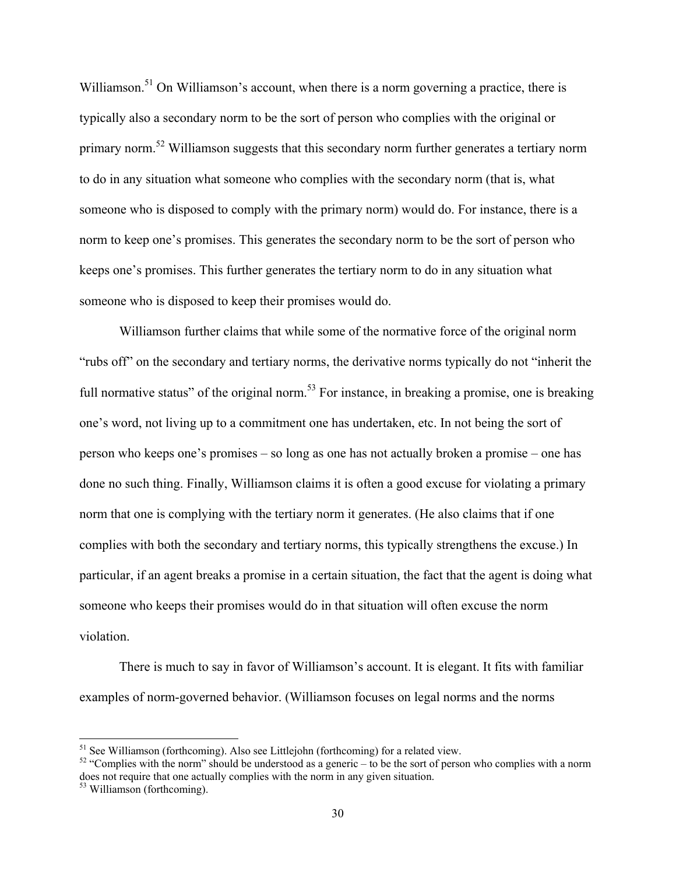Williamson.<sup>51</sup> On Williamson's account, when there is a norm governing a practice, there is typically also a secondary norm to be the sort of person who complies with the original or primary norm.<sup>52</sup> Williamson suggests that this secondary norm further generates a tertiary norm to do in any situation what someone who complies with the secondary norm (that is, what someone who is disposed to comply with the primary norm) would do. For instance, there is a norm to keep one's promises. This generates the secondary norm to be the sort of person who keeps one's promises. This further generates the tertiary norm to do in any situation what someone who is disposed to keep their promises would do.

Williamson further claims that while some of the normative force of the original norm "rubs off" on the secondary and tertiary norms, the derivative norms typically do not "inherit the full normative status" of the original norm.<sup>53</sup> For instance, in breaking a promise, one is breaking one's word, not living up to a commitment one has undertaken, etc. In not being the sort of person who keeps one's promises – so long as one has not actually broken a promise – one has done no such thing. Finally, Williamson claims it is often a good excuse for violating a primary norm that one is complying with the tertiary norm it generates. (He also claims that if one complies with both the secondary and tertiary norms, this typically strengthens the excuse.) In particular, if an agent breaks a promise in a certain situation, the fact that the agent is doing what someone who keeps their promises would do in that situation will often excuse the norm violation.

There is much to say in favor of Williamson's account. It is elegant. It fits with familiar examples of norm-governed behavior. (Williamson focuses on legal norms and the norms

 $<sup>51</sup>$  See Williamson (forthcoming). Also see Littlejohn (forthcoming) for a related view.</sup>

 $52$  "Complies with the norm" should be understood as a generic – to be the sort of person who complies with a norm does not require that one actually complies with the norm in any given situation.

<sup>&</sup>lt;sup>53</sup> Williamson (forthcoming).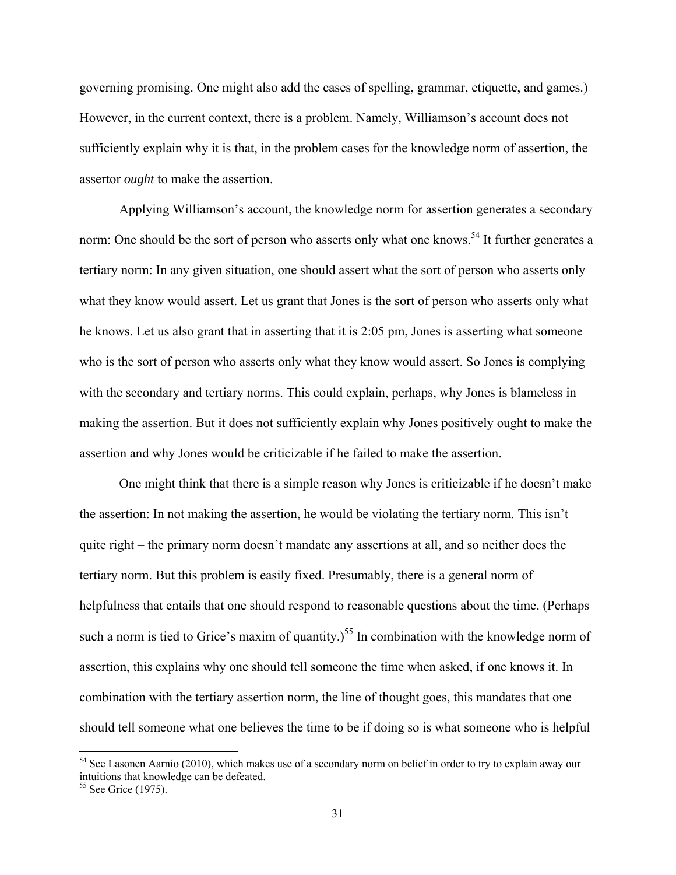governing promising. One might also add the cases of spelling, grammar, etiquette, and games.) However, in the current context, there is a problem. Namely, Williamson's account does not sufficiently explain why it is that, in the problem cases for the knowledge norm of assertion, the assertor *ought* to make the assertion.

Applying Williamson's account, the knowledge norm for assertion generates a secondary norm: One should be the sort of person who asserts only what one knows.<sup>54</sup> It further generates a tertiary norm: In any given situation, one should assert what the sort of person who asserts only what they know would assert. Let us grant that Jones is the sort of person who asserts only what he knows. Let us also grant that in asserting that it is 2:05 pm, Jones is asserting what someone who is the sort of person who asserts only what they know would assert. So Jones is complying with the secondary and tertiary norms. This could explain, perhaps, why Jones is blameless in making the assertion. But it does not sufficiently explain why Jones positively ought to make the assertion and why Jones would be criticizable if he failed to make the assertion.

One might think that there is a simple reason why Jones is criticizable if he doesn't make the assertion: In not making the assertion, he would be violating the tertiary norm. This isn't quite right – the primary norm doesn't mandate any assertions at all, and so neither does the tertiary norm. But this problem is easily fixed. Presumably, there is a general norm of helpfulness that entails that one should respond to reasonable questions about the time. (Perhaps such a norm is tied to Grice's maxim of quantity.)<sup>55</sup> In combination with the knowledge norm of assertion, this explains why one should tell someone the time when asked, if one knows it. In combination with the tertiary assertion norm, the line of thought goes, this mandates that one should tell someone what one believes the time to be if doing so is what someone who is helpful

<sup>&</sup>lt;sup>54</sup> See Lasonen Aarnio (2010), which makes use of a secondary norm on belief in order to try to explain away our intuitions that knowledge can be defeated.

<sup>&</sup>lt;sup>55</sup> See Grice (1975).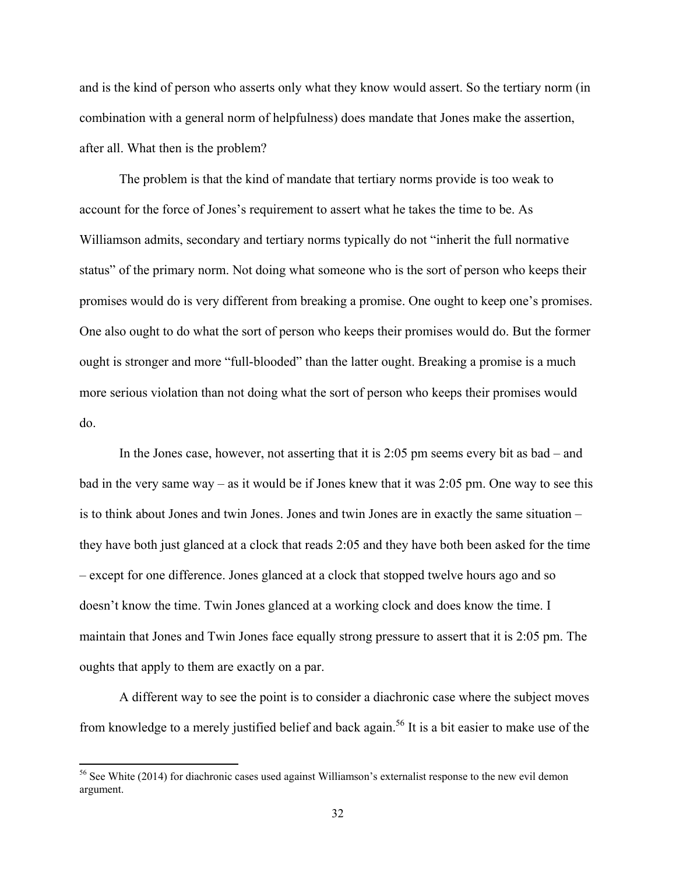and is the kind of person who asserts only what they know would assert. So the tertiary norm (in combination with a general norm of helpfulness) does mandate that Jones make the assertion, after all. What then is the problem?

The problem is that the kind of mandate that tertiary norms provide is too weak to account for the force of Jones's requirement to assert what he takes the time to be. As Williamson admits, secondary and tertiary norms typically do not "inherit the full normative status" of the primary norm. Not doing what someone who is the sort of person who keeps their promises would do is very different from breaking a promise. One ought to keep one's promises. One also ought to do what the sort of person who keeps their promises would do. But the former ought is stronger and more "full-blooded" than the latter ought. Breaking a promise is a much more serious violation than not doing what the sort of person who keeps their promises would do.

In the Jones case, however, not asserting that it is 2:05 pm seems every bit as bad – and bad in the very same way – as it would be if Jones knew that it was 2:05 pm. One way to see this is to think about Jones and twin Jones. Jones and twin Jones are in exactly the same situation – they have both just glanced at a clock that reads 2:05 and they have both been asked for the time – except for one difference. Jones glanced at a clock that stopped twelve hours ago and so doesn't know the time. Twin Jones glanced at a working clock and does know the time. I maintain that Jones and Twin Jones face equally strong pressure to assert that it is 2:05 pm. The oughts that apply to them are exactly on a par.

A different way to see the point is to consider a diachronic case where the subject moves from knowledge to a merely justified belief and back again.<sup>56</sup> It is a bit easier to make use of the

<sup>&</sup>lt;sup>56</sup> See White (2014) for diachronic cases used against Williamson's externalist response to the new evil demon argument.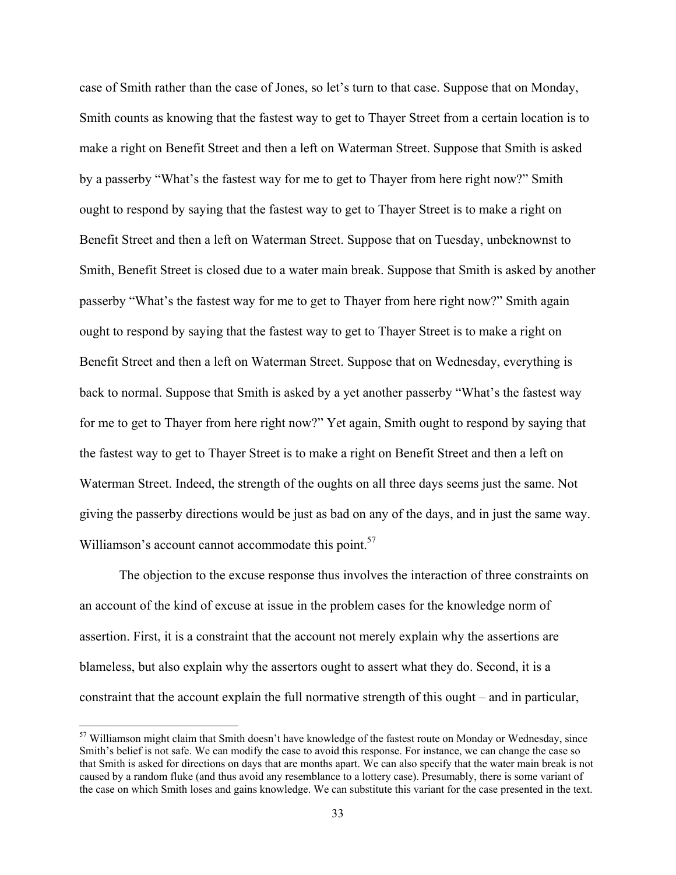case of Smith rather than the case of Jones, so let's turn to that case. Suppose that on Monday, Smith counts as knowing that the fastest way to get to Thayer Street from a certain location is to make a right on Benefit Street and then a left on Waterman Street. Suppose that Smith is asked by a passerby "What's the fastest way for me to get to Thayer from here right now?" Smith ought to respond by saying that the fastest way to get to Thayer Street is to make a right on Benefit Street and then a left on Waterman Street. Suppose that on Tuesday, unbeknownst to Smith, Benefit Street is closed due to a water main break. Suppose that Smith is asked by another passerby "What's the fastest way for me to get to Thayer from here right now?" Smith again ought to respond by saying that the fastest way to get to Thayer Street is to make a right on Benefit Street and then a left on Waterman Street. Suppose that on Wednesday, everything is back to normal. Suppose that Smith is asked by a yet another passerby "What's the fastest way for me to get to Thayer from here right now?" Yet again, Smith ought to respond by saying that the fastest way to get to Thayer Street is to make a right on Benefit Street and then a left on Waterman Street. Indeed, the strength of the oughts on all three days seems just the same. Not giving the passerby directions would be just as bad on any of the days, and in just the same way. Williamson's account cannot accommodate this point.<sup>57</sup>

The objection to the excuse response thus involves the interaction of three constraints on an account of the kind of excuse at issue in the problem cases for the knowledge norm of assertion. First, it is a constraint that the account not merely explain why the assertions are blameless, but also explain why the assertors ought to assert what they do. Second, it is a constraint that the account explain the full normative strength of this ought – and in particular,

<sup>&</sup>lt;sup>57</sup> Williamson might claim that Smith doesn't have knowledge of the fastest route on Monday or Wednesday, since Smith's belief is not safe. We can modify the case to avoid this response. For instance, we can change the case so that Smith is asked for directions on days that are months apart. We can also specify that the water main break is not caused by a random fluke (and thus avoid any resemblance to a lottery case). Presumably, there is some variant of the case on which Smith loses and gains knowledge. We can substitute this variant for the case presented in the text.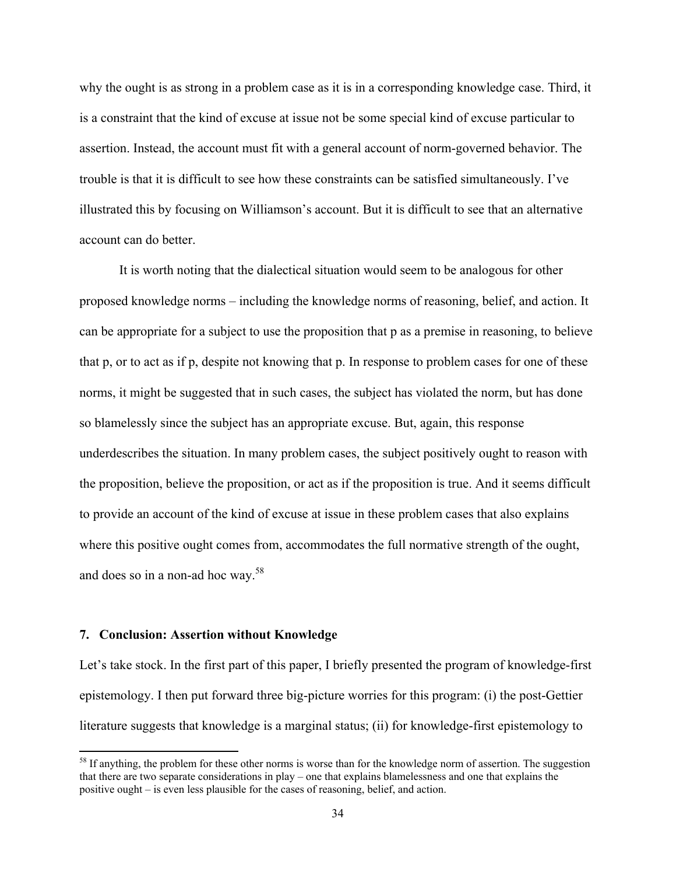why the ought is as strong in a problem case as it is in a corresponding knowledge case. Third, it is a constraint that the kind of excuse at issue not be some special kind of excuse particular to assertion. Instead, the account must fit with a general account of norm-governed behavior. The trouble is that it is difficult to see how these constraints can be satisfied simultaneously. I've illustrated this by focusing on Williamson's account. But it is difficult to see that an alternative account can do better.

It is worth noting that the dialectical situation would seem to be analogous for other proposed knowledge norms – including the knowledge norms of reasoning, belief, and action. It can be appropriate for a subject to use the proposition that p as a premise in reasoning, to believe that p, or to act as if p, despite not knowing that p. In response to problem cases for one of these norms, it might be suggested that in such cases, the subject has violated the norm, but has done so blamelessly since the subject has an appropriate excuse. But, again, this response underdescribes the situation. In many problem cases, the subject positively ought to reason with the proposition, believe the proposition, or act as if the proposition is true. And it seems difficult to provide an account of the kind of excuse at issue in these problem cases that also explains where this positive ought comes from, accommodates the full normative strength of the ought, and does so in a non-ad hoc way.<sup>58</sup>

### **7. Conclusion: Assertion without Knowledge**

Let's take stock. In the first part of this paper, I briefly presented the program of knowledge-first epistemology. I then put forward three big-picture worries for this program: (i) the post-Gettier literature suggests that knowledge is a marginal status; (ii) for knowledge-first epistemology to

<sup>&</sup>lt;sup>58</sup> If anything, the problem for these other norms is worse than for the knowledge norm of assertion. The suggestion that there are two separate considerations in play – one that explains blamelessness and one that explains the positive ought – is even less plausible for the cases of reasoning, belief, and action.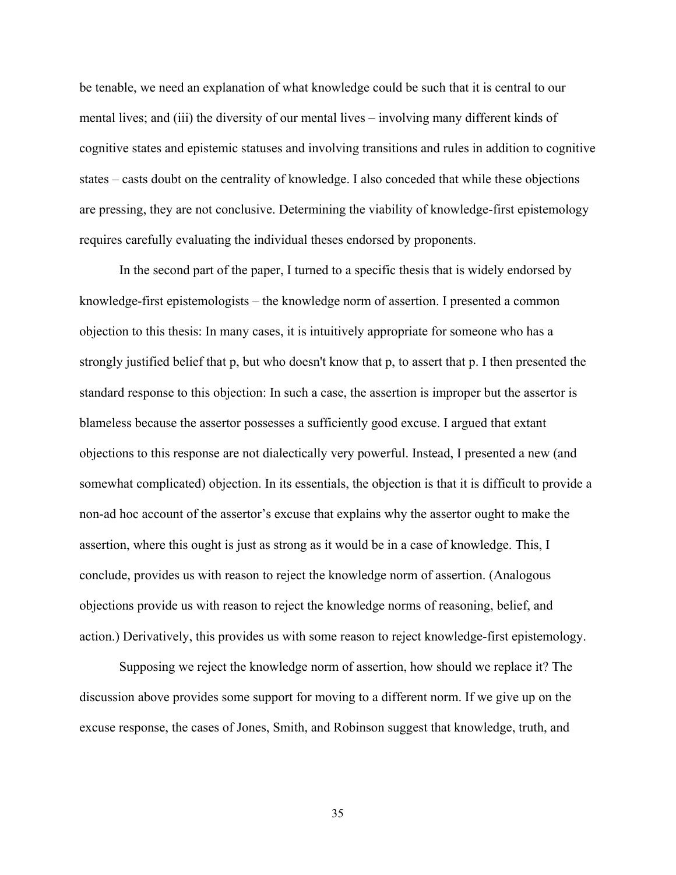be tenable, we need an explanation of what knowledge could be such that it is central to our mental lives; and (iii) the diversity of our mental lives – involving many different kinds of cognitive states and epistemic statuses and involving transitions and rules in addition to cognitive states – casts doubt on the centrality of knowledge. I also conceded that while these objections are pressing, they are not conclusive. Determining the viability of knowledge-first epistemology requires carefully evaluating the individual theses endorsed by proponents.

In the second part of the paper, I turned to a specific thesis that is widely endorsed by knowledge-first epistemologists – the knowledge norm of assertion. I presented a common objection to this thesis: In many cases, it is intuitively appropriate for someone who has a strongly justified belief that p, but who doesn't know that p, to assert that p. I then presented the standard response to this objection: In such a case, the assertion is improper but the assertor is blameless because the assertor possesses a sufficiently good excuse. I argued that extant objections to this response are not dialectically very powerful. Instead, I presented a new (and somewhat complicated) objection. In its essentials, the objection is that it is difficult to provide a non-ad hoc account of the assertor's excuse that explains why the assertor ought to make the assertion, where this ought is just as strong as it would be in a case of knowledge. This, I conclude, provides us with reason to reject the knowledge norm of assertion. (Analogous objections provide us with reason to reject the knowledge norms of reasoning, belief, and action.) Derivatively, this provides us with some reason to reject knowledge-first epistemology.

Supposing we reject the knowledge norm of assertion, how should we replace it? The discussion above provides some support for moving to a different norm. If we give up on the excuse response, the cases of Jones, Smith, and Robinson suggest that knowledge, truth, and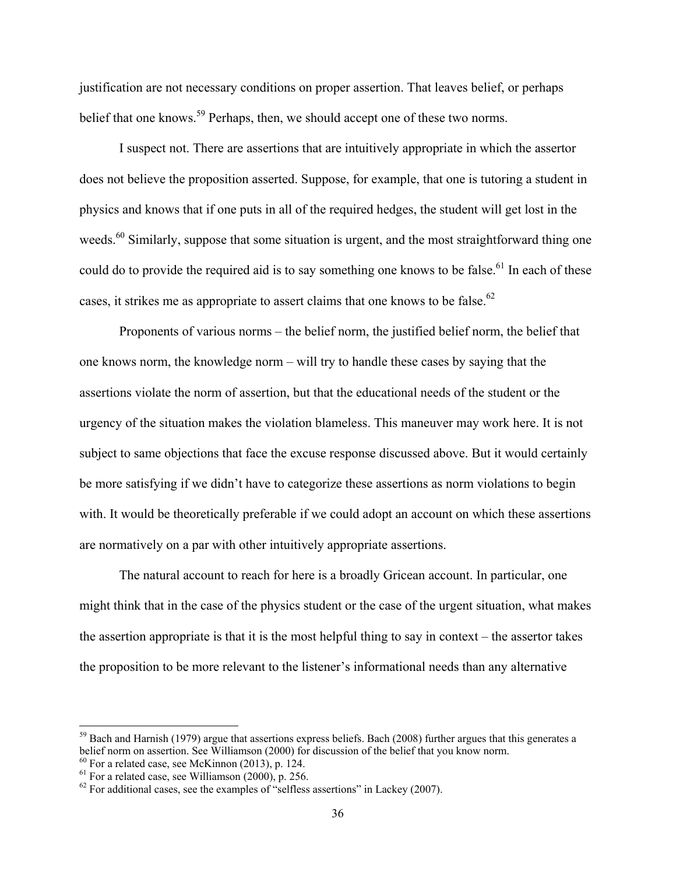justification are not necessary conditions on proper assertion. That leaves belief, or perhaps belief that one knows.<sup>59</sup> Perhaps, then, we should accept one of these two norms.

I suspect not. There are assertions that are intuitively appropriate in which the assertor does not believe the proposition asserted. Suppose, for example, that one is tutoring a student in physics and knows that if one puts in all of the required hedges, the student will get lost in the weeds.<sup>60</sup> Similarly, suppose that some situation is urgent, and the most straightforward thing one could do to provide the required aid is to say something one knows to be false.<sup>61</sup> In each of these cases, it strikes me as appropriate to assert claims that one knows to be false.<sup>62</sup>

Proponents of various norms – the belief norm, the justified belief norm, the belief that one knows norm, the knowledge norm – will try to handle these cases by saying that the assertions violate the norm of assertion, but that the educational needs of the student or the urgency of the situation makes the violation blameless. This maneuver may work here. It is not subject to same objections that face the excuse response discussed above. But it would certainly be more satisfying if we didn't have to categorize these assertions as norm violations to begin with. It would be theoretically preferable if we could adopt an account on which these assertions are normatively on a par with other intuitively appropriate assertions.

The natural account to reach for here is a broadly Gricean account. In particular, one might think that in the case of the physics student or the case of the urgent situation, what makes the assertion appropriate is that it is the most helpful thing to say in context – the assertor takes the proposition to be more relevant to the listener's informational needs than any alternative

 $59$  Bach and Harnish (1979) argue that assertions express beliefs. Bach (2008) further argues that this generates a belief norm on assertion. See Williamson (2000) for discussion of the belief that you know norm.  $60$  For a related case, see McKinnon (2013), p. 124.

 $61$  For a related case, see Williamson (2000), p. 256.

 $62$  For additional cases, see the examples of "selfless assertions" in Lackey (2007).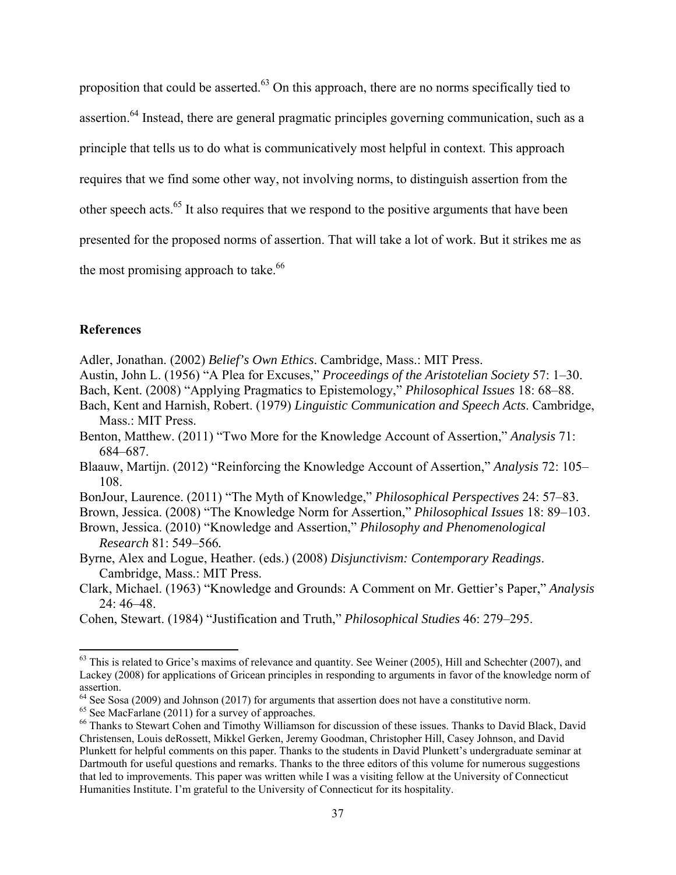proposition that could be asserted.<sup>63</sup> On this approach, there are no norms specifically tied to assertion.<sup>64</sup> Instead, there are general pragmatic principles governing communication, such as a principle that tells us to do what is communicatively most helpful in context. This approach requires that we find some other way, not involving norms, to distinguish assertion from the other speech acts.<sup>65</sup> It also requires that we respond to the positive arguments that have been presented for the proposed norms of assertion. That will take a lot of work. But it strikes me as the most promising approach to take. $66$ 

#### **References**

Adler, Jonathan. (2002) *Belief's Own Ethics*. Cambridge, Mass.: MIT Press.

Austin, John L. (1956) "A Plea for Excuses," *Proceedings of the Aristotelian Society* 57: 1–30.

Bach, Kent. (2008) "Applying Pragmatics to Epistemology," *Philosophical Issues* 18: 68–88.

- Bach, Kent and Harnish, Robert. (1979) *Linguistic Communication and Speech Acts*. Cambridge, Mass.: MIT Press.
- Benton, Matthew. (2011) "Two More for the Knowledge Account of Assertion," *Analysis* 71: 684–687.
- Blaauw, Martijn. (2012) "Reinforcing the Knowledge Account of Assertion," *Analysis* 72: 105– 108.
- BonJour, Laurence. (2011) "The Myth of Knowledge," *Philosophical Perspectives* 24: 57–83.
- Brown, Jessica. (2008) "The Knowledge Norm for Assertion," *Philosophical Issues* 18: 89–103.

Brown, Jessica. (2010) "Knowledge and Assertion," *Philosophy and Phenomenological Research* 81: 549–566*.*

- Byrne, Alex and Logue, Heather. (eds.) (2008) *Disjunctivism: Contemporary Readings*. Cambridge, Mass.: MIT Press.
- Clark, Michael. (1963) "Knowledge and Grounds: A Comment on Mr. Gettier's Paper," *Analysis* 24: 46–48.
- Cohen, Stewart. (1984) "Justification and Truth," *Philosophical Studies* 46: 279–295.

 $63$  This is related to Grice's maxims of relevance and quantity. See Weiner (2005), Hill and Schechter (2007), and Lackey (2008) for applications of Gricean principles in responding to arguments in favor of the knowledge norm of assertion.

 $64$  See Sosa (2009) and Johnson (2017) for arguments that assertion does not have a constitutive norm.

<sup>&</sup>lt;sup>65</sup> See MacFarlane (2011) for a survey of approaches.

<sup>&</sup>lt;sup>66</sup> Thanks to Stewart Cohen and Timothy Williamson for discussion of these issues. Thanks to David Black, David Christensen, Louis deRossett, Mikkel Gerken, Jeremy Goodman, Christopher Hill, Casey Johnson, and David Plunkett for helpful comments on this paper. Thanks to the students in David Plunkett's undergraduate seminar at Dartmouth for useful questions and remarks. Thanks to the three editors of this volume for numerous suggestions that led to improvements. This paper was written while I was a visiting fellow at the University of Connecticut Humanities Institute. I'm grateful to the University of Connecticut for its hospitality.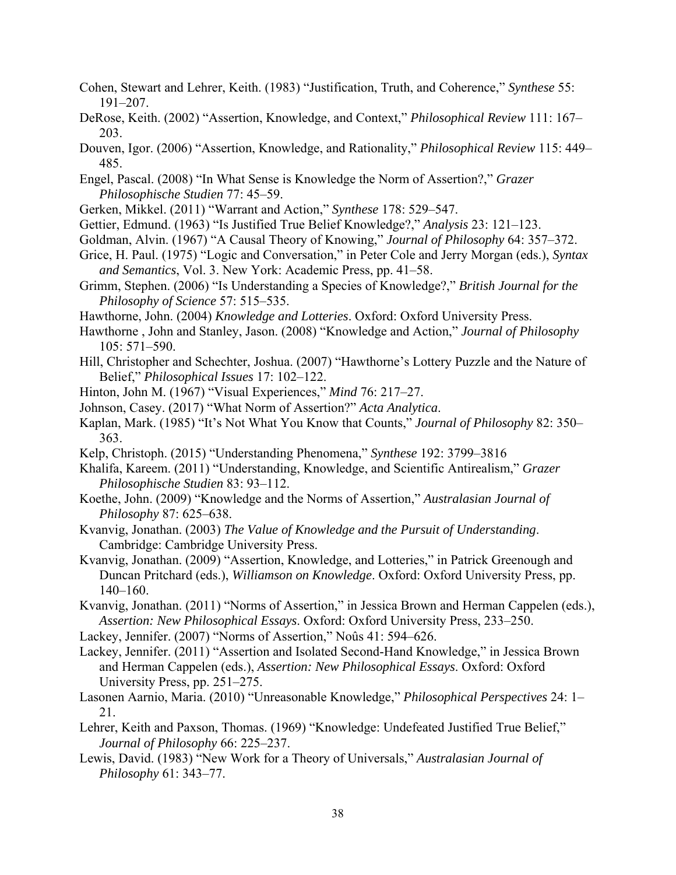- Cohen, Stewart and Lehrer, Keith. (1983) "Justification, Truth, and Coherence," *Synthese* 55: 191–207.
- DeRose, Keith. (2002) "Assertion, Knowledge, and Context," *Philosophical Review* 111: 167– 203.
- Douven, Igor. (2006) "Assertion, Knowledge, and Rationality," *Philosophical Review* 115: 449– 485.
- Engel, Pascal. (2008) "In What Sense is Knowledge the Norm of Assertion?," *Grazer Philosophische Studien* 77: 45–59.
- Gerken, Mikkel. (2011) "Warrant and Action," *Synthese* 178: 529–547.
- Gettier, Edmund. (1963) "Is Justified True Belief Knowledge?," *Analysis* 23: 121–123.
- Goldman, Alvin. (1967) "A Causal Theory of Knowing," *Journal of Philosophy* 64: 357–372.
- Grice, H. Paul. (1975) "Logic and Conversation," in Peter Cole and Jerry Morgan (eds.), *Syntax and Semantics*, Vol. 3. New York: Academic Press, pp. 41–58.
- Grimm, Stephen. (2006) "Is Understanding a Species of Knowledge?," *British Journal for the Philosophy of Science* 57: 515–535.
- Hawthorne, John. (2004) *Knowledge and Lotteries*. Oxford: Oxford University Press.
- Hawthorne , John and Stanley, Jason. (2008) "Knowledge and Action," *Journal of Philosophy* 105: 571–590.
- Hill, Christopher and Schechter, Joshua. (2007) "Hawthorne's Lottery Puzzle and the Nature of Belief," *Philosophical Issues* 17: 102–122.
- Hinton, John M. (1967) "Visual Experiences," *Mind* 76: 217–27.
- Johnson, Casey. (2017) "What Norm of Assertion?" *Acta Analytica*.
- Kaplan, Mark. (1985) "It's Not What You Know that Counts," *Journal of Philosophy* 82: 350– 363.
- Kelp, Christoph. (2015) "Understanding Phenomena," *Synthese* 192: 3799–3816
- Khalifa, Kareem. (2011) "Understanding, Knowledge, and Scientific Antirealism," *Grazer Philosophische Studien* 83: 93–112.
- Koethe, John. (2009) "Knowledge and the Norms of Assertion," *Australasian Journal of Philosophy* 87: 625–638.
- Kvanvig, Jonathan. (2003) *The Value of Knowledge and the Pursuit of Understanding*. Cambridge: Cambridge University Press.
- Kvanvig, Jonathan. (2009) "Assertion, Knowledge, and Lotteries," in Patrick Greenough and Duncan Pritchard (eds.), *Williamson on Knowledge*. Oxford: Oxford University Press, pp. 140–160.
- Kvanvig, Jonathan. (2011) "Norms of Assertion," in Jessica Brown and Herman Cappelen (eds.), *Assertion: New Philosophical Essays*. Oxford: Oxford University Press, 233–250.
- Lackey, Jennifer. (2007) "Norms of Assertion," Noûs 41: 594–626.
- Lackey, Jennifer. (2011) "Assertion and Isolated Second-Hand Knowledge," in Jessica Brown and Herman Cappelen (eds.), *Assertion: New Philosophical Essays*. Oxford: Oxford University Press, pp. 251–275.
- Lasonen Aarnio, Maria. (2010) "Unreasonable Knowledge," *Philosophical Perspectives* 24: 1– 21.
- Lehrer, Keith and Paxson, Thomas. (1969) "Knowledge: Undefeated Justified True Belief," *Journal of Philosophy* 66: 225–237.
- Lewis, David. (1983) "New Work for a Theory of Universals," *Australasian Journal of Philosophy* 61: 343–77.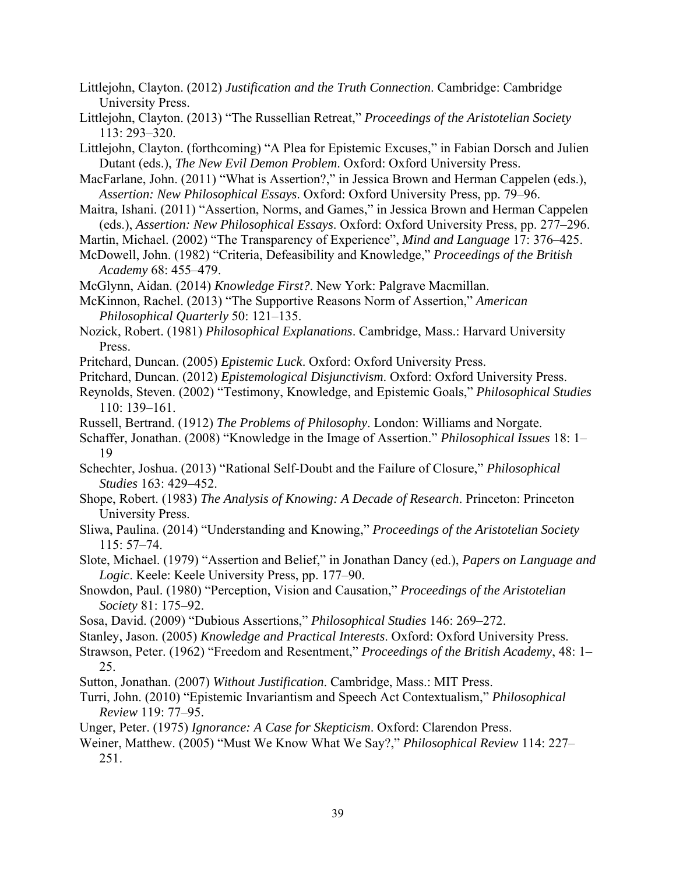- Littlejohn, Clayton. (2012) *Justification and the Truth Connection*. Cambridge: Cambridge University Press.
- Littlejohn, Clayton. (2013) "The Russellian Retreat," *Proceedings of the Aristotelian Society* 113: 293–320.
- Littlejohn, Clayton. (forthcoming) "A Plea for Epistemic Excuses," in Fabian Dorsch and Julien Dutant (eds.), *The New Evil Demon Problem*. Oxford: Oxford University Press.
- MacFarlane, John. (2011) "What is Assertion?," in Jessica Brown and Herman Cappelen (eds.), *Assertion: New Philosophical Essays*. Oxford: Oxford University Press, pp. 79–96.
- Maitra, Ishani. (2011) "Assertion, Norms, and Games," in Jessica Brown and Herman Cappelen (eds.), *Assertion: New Philosophical Essays*. Oxford: Oxford University Press, pp. 277–296.
- Martin, Michael. (2002) "The Transparency of Experience", *Mind and Language* 17: 376–425.
- McDowell, John. (1982) "Criteria, Defeasibility and Knowledge," *Proceedings of the British Academy* 68: 455–479.
- McGlynn, Aidan. (2014) *Knowledge First?*. New York: Palgrave Macmillan.

McKinnon, Rachel. (2013) "The Supportive Reasons Norm of Assertion," *American Philosophical Quarterly* 50: 121–135.

- Nozick, Robert. (1981) *Philosophical Explanations*. Cambridge, Mass.: Harvard University Press.
- Pritchard, Duncan. (2005) *Epistemic Luck*. Oxford: Oxford University Press.
- Pritchard, Duncan. (2012) *Epistemological Disjunctivism*. Oxford: Oxford University Press.
- Reynolds, Steven. (2002) "Testimony, Knowledge, and Epistemic Goals," *Philosophical Studies* 110: 139–161.
- Russell, Bertrand. (1912) *The Problems of Philosophy*. London: Williams and Norgate.
- Schaffer, Jonathan. (2008) "Knowledge in the Image of Assertion." *Philosophical Issues* 18: 1– 19
- Schechter, Joshua. (2013) "Rational Self-Doubt and the Failure of Closure," *Philosophical Studies* 163: 429–452.
- Shope, Robert. (1983) *The Analysis of Knowing: A Decade of Research*. Princeton: Princeton University Press.
- Sliwa, Paulina. (2014) "Understanding and Knowing," *Proceedings of the Aristotelian Society* 115: 57–74.
- Slote, Michael. (1979) "Assertion and Belief," in Jonathan Dancy (ed.), *Papers on Language and Logic*. Keele: Keele University Press, pp. 177–90.
- Snowdon, Paul. (1980) "Perception, Vision and Causation," *Proceedings of the Aristotelian Society* 81: 175–92.
- Sosa, David. (2009) "Dubious Assertions," *Philosophical Studies* 146: 269–272.
- Stanley, Jason. (2005) *Knowledge and Practical Interests*. Oxford: Oxford University Press.
- Strawson, Peter. (1962) "Freedom and Resentment," *Proceedings of the British Academy*, 48: 1– 25.
- Sutton, Jonathan. (2007) *Without Justification*. Cambridge, Mass.: MIT Press.
- Turri, John. (2010) "Epistemic Invariantism and Speech Act Contextualism," *Philosophical Review* 119: 77–95.
- Unger, Peter. (1975) *Ignorance: A Case for Skepticism*. Oxford: Clarendon Press.
- Weiner, Matthew. (2005) "Must We Know What We Say?," *Philosophical Review* 114: 227– 251.